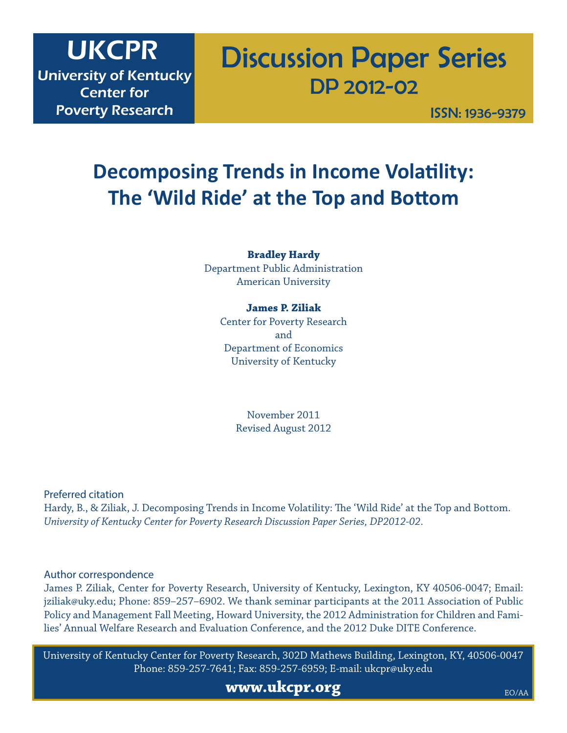# UKCPR

University of Kentucky Center for Poverty Research

# Discussion Paper Series DP 2012-02

ISSN: 1936-9379

# **Decomposing Trends in Income Volatility: The 'Wild Ride' at the Top and Bottom**

# **Bradley Hardy**

Department Public Administration American University

# **James P. Ziliak**

Center for Poverty Research and Department of Economics University of Kentucky

> November 2011 Revised August 2012

Preferred citation

Hardy, B., & Ziliak, J. Decomposing Trends in Income Volatility: The 'Wild Ride' at the Top and Bottom. *University of Kentucky Center for Poverty Research Discussion Paper Series, DP2012-02*.

# Author correspondence

James P. Ziliak, Center for Poverty Research, University of Kentucky, Lexington, KY 40506-0047; Email: jziliak@uky.edu; Phone: 859–257–6902. We thank seminar participants at the 2011 Association of Public Policy and Management Fall Meeting, Howard University, the 2012 Administration for Children and Families' Annual Welfare Research and Evaluation Conference, and the 2012 Duke DITE Conference.

University of Kentucky Center for Poverty Research, 302D Mathews Building, Lexington, KY, 40506-0047 Phone: 859-257-7641; Fax: 859-257-6959; E-mail: ukcpr@uky.edu

**www.ukcpr.org**

EO/AA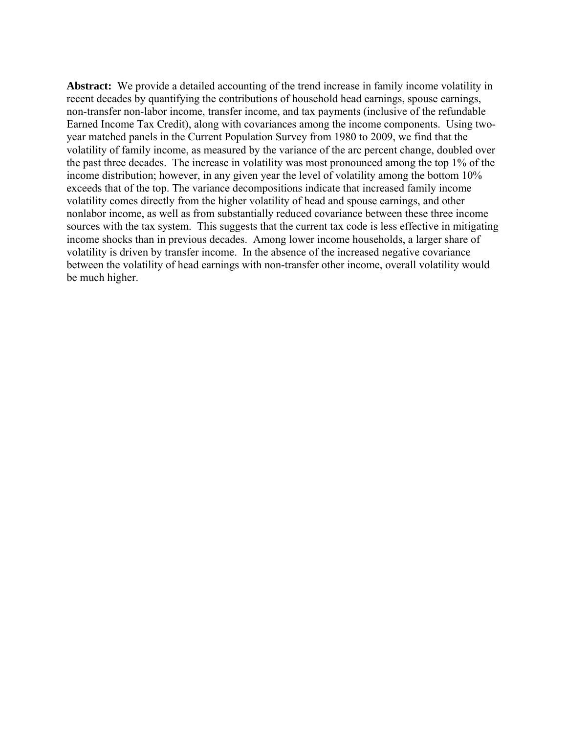**Abstract:** We provide a detailed accounting of the trend increase in family income volatility in recent decades by quantifying the contributions of household head earnings, spouse earnings, non-transfer non-labor income, transfer income, and tax payments (inclusive of the refundable Earned Income Tax Credit), along with covariances among the income components. Using twoyear matched panels in the Current Population Survey from 1980 to 2009, we find that the volatility of family income, as measured by the variance of the arc percent change, doubled over the past three decades. The increase in volatility was most pronounced among the top 1% of the income distribution; however, in any given year the level of volatility among the bottom 10% exceeds that of the top. The variance decompositions indicate that increased family income volatility comes directly from the higher volatility of head and spouse earnings, and other nonlabor income, as well as from substantially reduced covariance between these three income sources with the tax system. This suggests that the current tax code is less effective in mitigating income shocks than in previous decades. Among lower income households, a larger share of volatility is driven by transfer income. In the absence of the increased negative covariance between the volatility of head earnings with non-transfer other income, overall volatility would be much higher.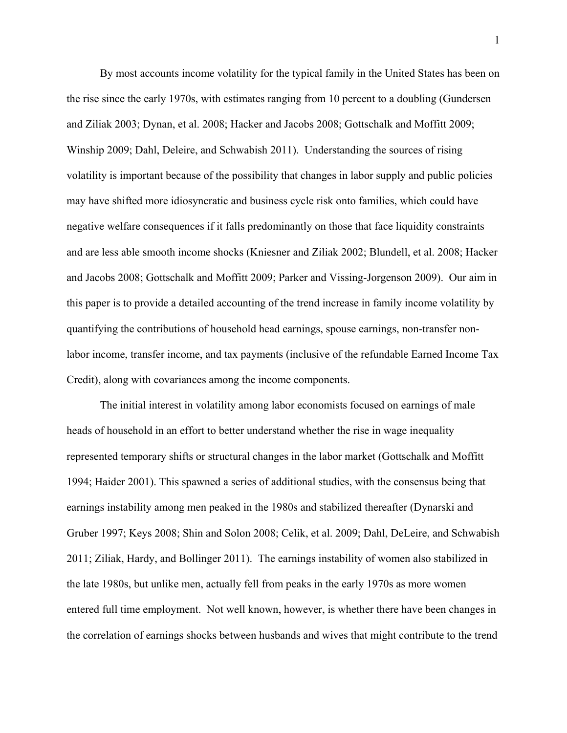By most accounts income volatility for the typical family in the United States has been on the rise since the early 1970s, with estimates ranging from 10 percent to a doubling (Gundersen and Ziliak 2003; Dynan, et al. 2008; Hacker and Jacobs 2008; Gottschalk and Moffitt 2009; Winship 2009; Dahl, Deleire, and Schwabish 2011). Understanding the sources of rising volatility is important because of the possibility that changes in labor supply and public policies may have shifted more idiosyncratic and business cycle risk onto families, which could have negative welfare consequences if it falls predominantly on those that face liquidity constraints and are less able smooth income shocks (Kniesner and Ziliak 2002; Blundell, et al. 2008; Hacker and Jacobs 2008; Gottschalk and Moffitt 2009; Parker and Vissing-Jorgenson 2009). Our aim in this paper is to provide a detailed accounting of the trend increase in family income volatility by quantifying the contributions of household head earnings, spouse earnings, non-transfer nonlabor income, transfer income, and tax payments (inclusive of the refundable Earned Income Tax Credit), along with covariances among the income components.

The initial interest in volatility among labor economists focused on earnings of male heads of household in an effort to better understand whether the rise in wage inequality represented temporary shifts or structural changes in the labor market (Gottschalk and Moffitt 1994; Haider 2001). This spawned a series of additional studies, with the consensus being that earnings instability among men peaked in the 1980s and stabilized thereafter (Dynarski and Gruber 1997; Keys 2008; Shin and Solon 2008; Celik, et al. 2009; Dahl, DeLeire, and Schwabish 2011; Ziliak, Hardy, and Bollinger 2011). The earnings instability of women also stabilized in the late 1980s, but unlike men, actually fell from peaks in the early 1970s as more women entered full time employment. Not well known, however, is whether there have been changes in the correlation of earnings shocks between husbands and wives that might contribute to the trend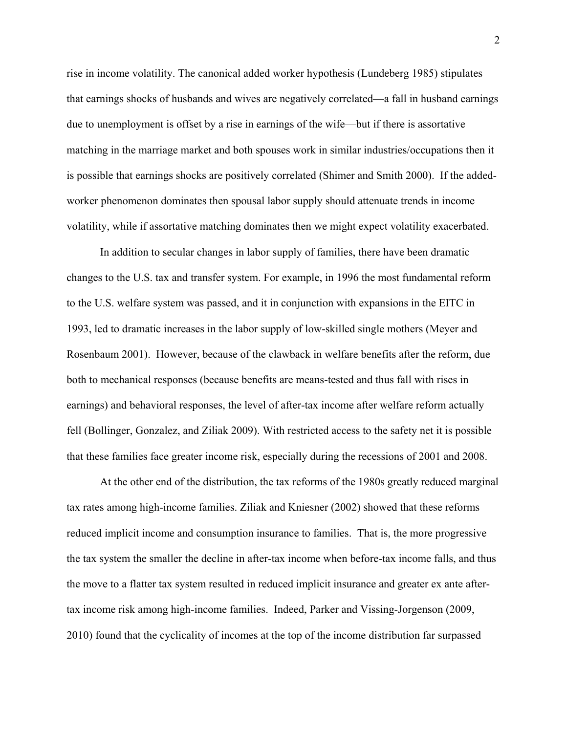rise in income volatility. The canonical added worker hypothesis (Lundeberg 1985) stipulates that earnings shocks of husbands and wives are negatively correlated—a fall in husband earnings due to unemployment is offset by a rise in earnings of the wife—but if there is assortative matching in the marriage market and both spouses work in similar industries/occupations then it is possible that earnings shocks are positively correlated (Shimer and Smith 2000). If the addedworker phenomenon dominates then spousal labor supply should attenuate trends in income volatility, while if assortative matching dominates then we might expect volatility exacerbated.

In addition to secular changes in labor supply of families, there have been dramatic changes to the U.S. tax and transfer system. For example, in 1996 the most fundamental reform to the U.S. welfare system was passed, and it in conjunction with expansions in the EITC in 1993, led to dramatic increases in the labor supply of low-skilled single mothers (Meyer and Rosenbaum 2001). However, because of the clawback in welfare benefits after the reform, due both to mechanical responses (because benefits are means-tested and thus fall with rises in earnings) and behavioral responses, the level of after-tax income after welfare reform actually fell (Bollinger, Gonzalez, and Ziliak 2009). With restricted access to the safety net it is possible that these families face greater income risk, especially during the recessions of 2001 and 2008.

At the other end of the distribution, the tax reforms of the 1980s greatly reduced marginal tax rates among high-income families. Ziliak and Kniesner (2002) showed that these reforms reduced implicit income and consumption insurance to families. That is, the more progressive the tax system the smaller the decline in after-tax income when before-tax income falls, and thus the move to a flatter tax system resulted in reduced implicit insurance and greater ex ante aftertax income risk among high-income families. Indeed, Parker and Vissing-Jorgenson (2009, 2010) found that the cyclicality of incomes at the top of the income distribution far surpassed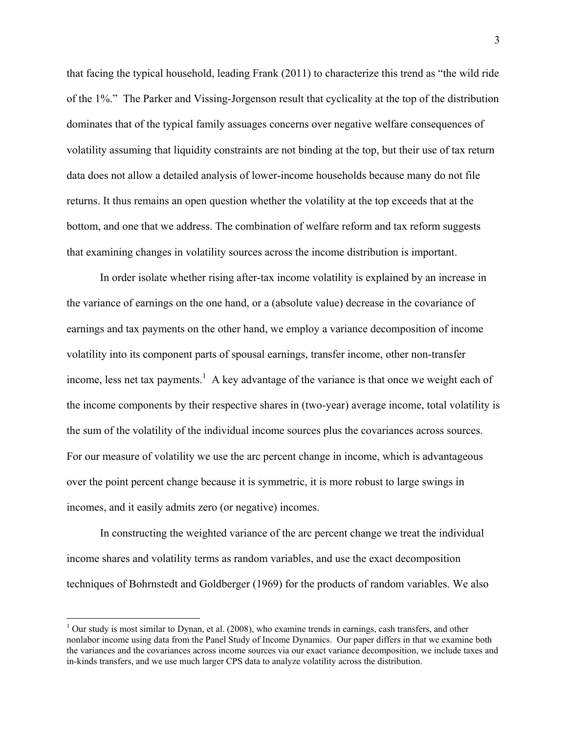that facing the typical household, leading Frank (2011) to characterize this trend as "the wild ride of the 1%." The Parker and Vissing-Jorgenson result that cyclicality at the top of the distribution dominates that of the typical family assuages concerns over negative welfare consequences of volatility assuming that liquidity constraints are not binding at the top, but their use of tax return data does not allow a detailed analysis of lower-income households because many do not file returns. It thus remains an open question whether the volatility at the top exceeds that at the bottom, and one that we address. The combination of welfare reform and tax reform suggests that examining changes in volatility sources across the income distribution is important.

In order isolate whether rising after-tax income volatility is explained by an increase in the variance of earnings on the one hand, or a (absolute value) decrease in the covariance of earnings and tax payments on the other hand, we employ a variance decomposition of income volatility into its component parts of spousal earnings, transfer income, other non-transfer income, less net tax payments.<sup>1</sup> A key advantage of the variance is that once we weight each of the income components by their respective shares in (two-year) average income, total volatility is the sum of the volatility of the individual income sources plus the covariances across sources. For our measure of volatility we use the arc percent change in income, which is advantageous over the point percent change because it is symmetric, it is more robust to large swings in incomes, and it easily admits zero (or negative) incomes.

In constructing the weighted variance of the arc percent change we treat the individual income shares and volatility terms as random variables, and use the exact decomposition techniques of Bohrnstedt and Goldberger (1969) for the products of random variables. We also

 $\overline{a}$ 

 $1$  Our study is most similar to Dynan, et al. (2008), who examine trends in earnings, cash transfers, and other nonlabor income using data from the Panel Study of Income Dynamics. Our paper differs in that we examine both the variances and the covariances across income sources via our exact variance decomposition, we include taxes and in-kinds transfers, and we use much larger CPS data to analyze volatility across the distribution.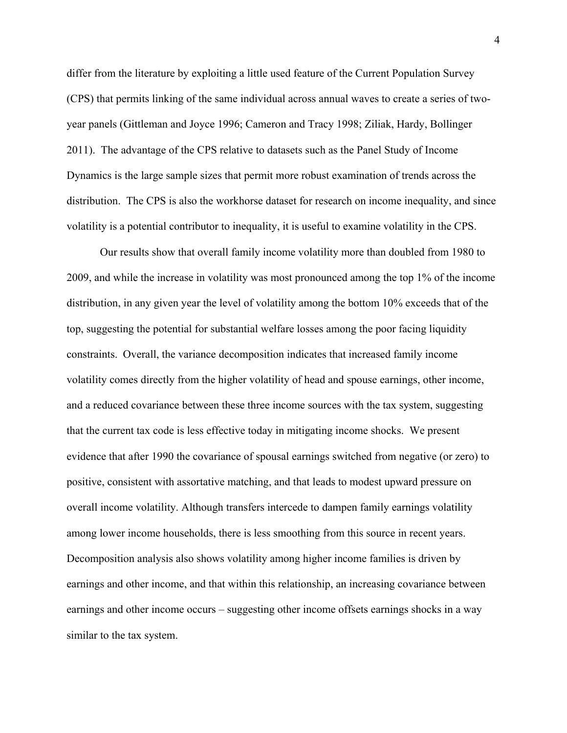differ from the literature by exploiting a little used feature of the Current Population Survey (CPS) that permits linking of the same individual across annual waves to create a series of twoyear panels (Gittleman and Joyce 1996; Cameron and Tracy 1998; Ziliak, Hardy, Bollinger 2011). The advantage of the CPS relative to datasets such as the Panel Study of Income Dynamics is the large sample sizes that permit more robust examination of trends across the distribution. The CPS is also the workhorse dataset for research on income inequality, and since volatility is a potential contributor to inequality, it is useful to examine volatility in the CPS.

Our results show that overall family income volatility more than doubled from 1980 to 2009, and while the increase in volatility was most pronounced among the top 1% of the income distribution, in any given year the level of volatility among the bottom 10% exceeds that of the top, suggesting the potential for substantial welfare losses among the poor facing liquidity constraints. Overall, the variance decomposition indicates that increased family income volatility comes directly from the higher volatility of head and spouse earnings, other income, and a reduced covariance between these three income sources with the tax system, suggesting that the current tax code is less effective today in mitigating income shocks. We present evidence that after 1990 the covariance of spousal earnings switched from negative (or zero) to positive, consistent with assortative matching, and that leads to modest upward pressure on overall income volatility. Although transfers intercede to dampen family earnings volatility among lower income households, there is less smoothing from this source in recent years. Decomposition analysis also shows volatility among higher income families is driven by earnings and other income, and that within this relationship, an increasing covariance between earnings and other income occurs – suggesting other income offsets earnings shocks in a way similar to the tax system.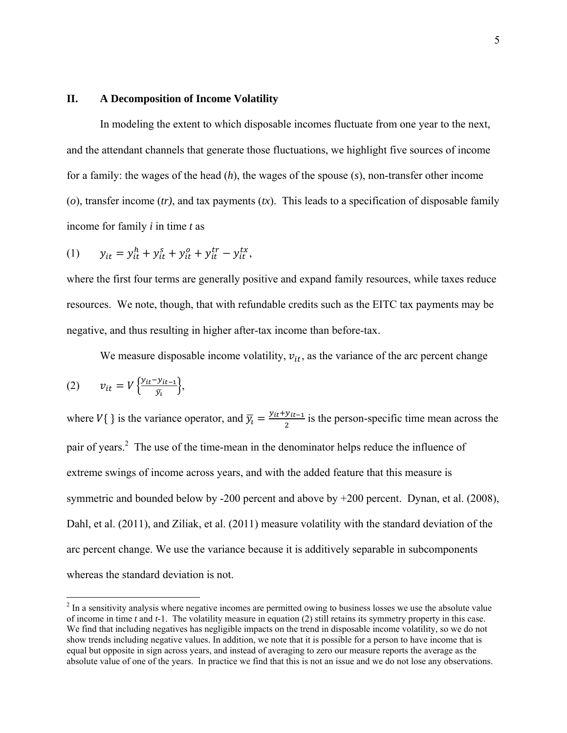#### **II. A Decomposition of Income Volatility**

In modeling the extent to which disposable incomes fluctuate from one year to the next, and the attendant channels that generate those fluctuations, we highlight five sources of income for a family: the wages of the head (*h*), the wages of the spouse (*s*), non-transfer other income (*o*), transfer income (*tr)*, and tax payments (*tx*). This leads to a specification of disposable family income for family *i* in time *t* as

(1) 
$$
y_{it} = y_{it}^h + y_{it}^s + y_{it}^o + y_{it}^{tr} - y_{it}^{tx},
$$

where the first four terms are generally positive and expand family resources, while taxes reduce resources. We note, though, that with refundable credits such as the EITC tax payments may be negative, and thus resulting in higher after-tax income than before-tax.

We measure disposable income volatility,  $v_{it}$ , as the variance of the arc percent change

$$
(2) \qquad v_{it} = V \left\{ \frac{y_{it} - y_{it-1}}{\bar{y}_i} \right\},
$$

1

where  $V\{\}\$ is the variance operator, and  $\overline{y}_l = \frac{y_{it} + y_{it-1}}{2}$  is the person-specific time mean across the pair of years.<sup>2</sup> The use of the time-mean in the denominator helps reduce the influence of extreme swings of income across years, and with the added feature that this measure is symmetric and bounded below by -200 percent and above by +200 percent. Dynan, et al. (2008), Dahl, et al. (2011), and Ziliak, et al. (2011) measure volatility with the standard deviation of the arc percent change. We use the variance because it is additively separable in subcomponents whereas the standard deviation is not.

 $2<sup>2</sup>$  In a sensitivity analysis where negative incomes are permitted owing to business losses we use the absolute value of income in time *t* and *t*-1. The volatility measure in equation (2) still retains its symmetry property in this case. We find that including negatives has negligible impacts on the trend in disposable income volatility, so we do not show trends including negative values. In addition, we note that it is possible for a person to have income that is equal but opposite in sign across years, and instead of averaging to zero our measure reports the average as the absolute value of one of the years. In practice we find that this is not an issue and we do not lose any observations.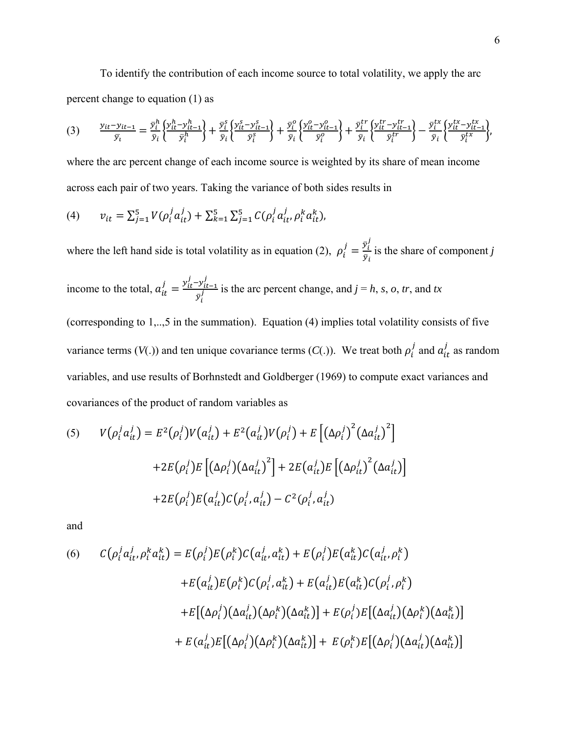To identify the contribution of each income source to total volatility, we apply the arc percent change to equation (1) as

$$
(3) \qquad \frac{y_{it}-y_{it-1}}{\bar{y}_i} = \frac{\bar{y}_i^h}{\bar{y}_i} \left\{ \frac{y_{it}^h - y_{it-1}^h}{\bar{y}_i^h} \right\} + \frac{\bar{y}_i^s}{\bar{y}_i} \left\{ \frac{y_{it}^s - y_{it-1}^s}{\bar{y}_i^s} \right\} + \frac{\bar{y}_i^o}{\bar{y}_i} \left\{ \frac{y_{it}^o - y_{it-1}^o}{\bar{y}_i^o} \right\} + \frac{\bar{y}_i^{tr}}{\bar{y}_i} \left\{ \frac{y_{it}^{tr} - y_{it-1}^{tr}}{\bar{y}_i^r} \right\} - \frac{\bar{y}_i^{tx}}{\bar{y}_i} \left\{ \frac{y_{it}^{tx} - y_{it-1}^{tx}}{\bar{y}_i^r} \right\},
$$

where the arc percent change of each income source is weighted by its share of mean income across each pair of two years. Taking the variance of both sides results in

(4) 
$$
v_{it} = \sum_{j=1}^{5} V(\rho_i^j a_{it}^j) + \sum_{k=1}^{5} \sum_{j=1}^{5} C(\rho_i^j a_{it}^j, \rho_i^k a_{it}^k),
$$

where the left hand side is total volatility as in equation (2),  $\rho_i^j = \frac{\bar{v}_i^j}{\bar{v}_i}$  $\frac{\partial y_i}{\partial \bar{y}_i}$  is the share of component *j* 

income to the total, 
$$
a_{it}^{j} = \frac{y_{it}^{j} - y_{it-1}^{j}}{\bar{y}_{i}^{j}}
$$
 is the arc percent change, and  $j = h$ , *s*, *o*, *tr*, and *tx*

(corresponding to 1,..,5 in the summation). Equation (4) implies total volatility consists of five variance terms ( $V(.)$ ) and ten unique covariance terms ( $C(.)$ ). We treat both  $\rho_i^j$  and  $a_{it}^j$  as random variables, and use results of Borhnstedt and Goldberger (1969) to compute exact variances and covariances of the product of random variables as

$$
(5) \qquad V(\rho_i^j a_{it}^j) = E^2(\rho_i^j) V(a_{it}^j) + E^2(a_{it}^j) V(\rho_i^j) + E\left[\left(\Delta \rho_i^j\right)^2 \left(\Delta a_{it}^j\right)^2\right] \\
+ 2E(\rho_i^j) E\left[\left(\Delta \rho_i^j\right) \left(\Delta a_{it}^j\right)^2\right] + 2E(a_{it}^j) E\left[\left(\Delta \rho_{it}^j\right)^2 \left(\Delta a_{it}^j\right)\right] \\
+ 2E(\rho_i^j) E(a_{it}^j) C(\rho_i^j, a_{it}^j) - C^2(\rho_i^j, a_{it}^j)
$$

and

(6) 
$$
C(\rho_i^j a_{it}^j, \rho_i^k a_{it}^k) = E(\rho_i^j) E(\rho_i^k) C(a_{it}^j, a_{it}^k) + E(\rho_i^j) E(a_{it}^k) C(a_{it}^j, \rho_i^k) + E(a_{it}^j) E(\rho_i^k) C(\rho_i^j, a_{it}^k) + E(a_{it}^j) E(a_{it}^k) C(\rho_i^j, \rho_i^k) + E[(\Delta \rho_i^j) (\Delta a_{it}^j) (\Delta \rho_i^k) (\Delta a_{it}^k)] + E(\rho_i^j) E[(\Delta a_{it}^j) (\Delta \rho_i^k) (\Delta a_{it}^k)] + E(a_{it}^j) E[(\Delta \rho_i^j) (\Delta \rho_i^k) (\Delta a_{it}^k)] + E(\rho_i^k) E[(\Delta \rho_i^j) (\Delta a_{it}^j) (\Delta a_{it}^k)]
$$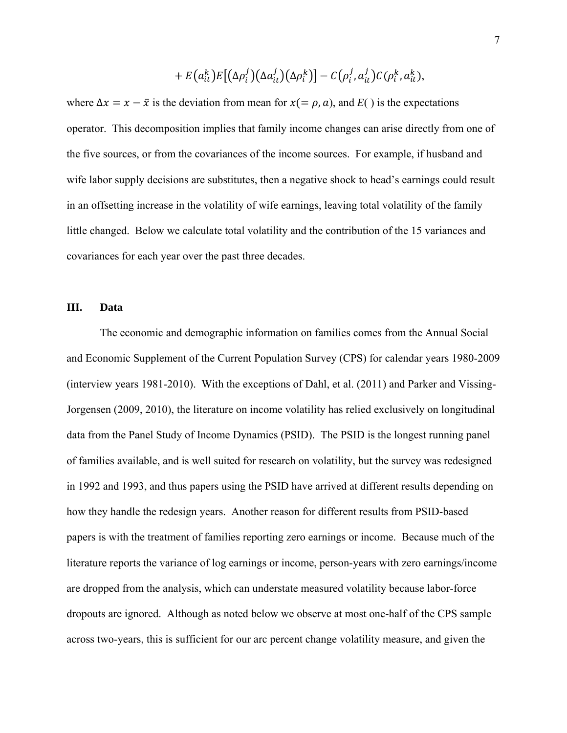$$
+ E(a_{it}^k)E[(\Delta \rho_i^j)(\Delta a_{it}^j)(\Delta \rho_i^k)] - C(\rho_i^j, a_{it}^j)C(\rho_i^k, a_{it}^k),
$$

where  $\Delta x = x - \bar{x}$  is the deviation from mean for  $x(= \rho, a)$ , and  $E($ ) is the expectations operator. This decomposition implies that family income changes can arise directly from one of the five sources, or from the covariances of the income sources. For example, if husband and wife labor supply decisions are substitutes, then a negative shock to head's earnings could result in an offsetting increase in the volatility of wife earnings, leaving total volatility of the family little changed. Below we calculate total volatility and the contribution of the 15 variances and covariances for each year over the past three decades.

# **III. Data**

 The economic and demographic information on families comes from the Annual Social and Economic Supplement of the Current Population Survey (CPS) for calendar years 1980-2009 (interview years 1981-2010). With the exceptions of Dahl, et al. (2011) and Parker and Vissing-Jorgensen (2009, 2010), the literature on income volatility has relied exclusively on longitudinal data from the Panel Study of Income Dynamics (PSID). The PSID is the longest running panel of families available, and is well suited for research on volatility, but the survey was redesigned in 1992 and 1993, and thus papers using the PSID have arrived at different results depending on how they handle the redesign years. Another reason for different results from PSID-based papers is with the treatment of families reporting zero earnings or income. Because much of the literature reports the variance of log earnings or income, person-years with zero earnings/income are dropped from the analysis, which can understate measured volatility because labor-force dropouts are ignored. Although as noted below we observe at most one-half of the CPS sample across two-years, this is sufficient for our arc percent change volatility measure, and given the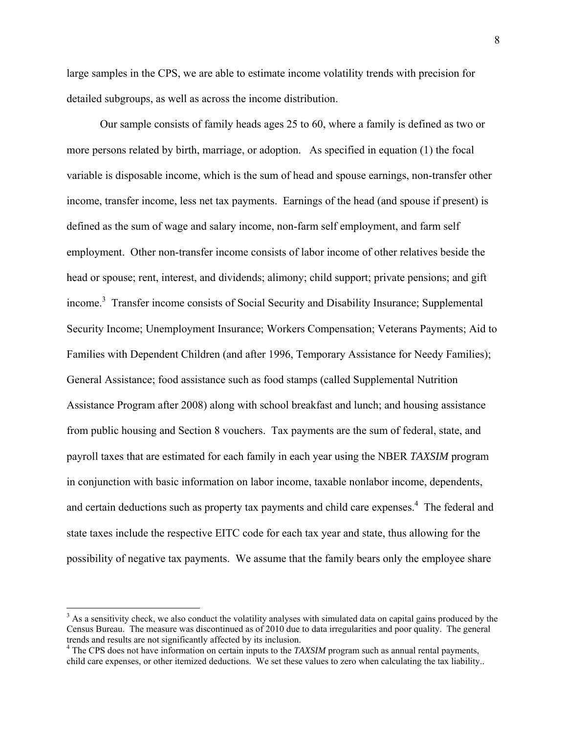large samples in the CPS, we are able to estimate income volatility trends with precision for detailed subgroups, as well as across the income distribution.

Our sample consists of family heads ages 25 to 60, where a family is defined as two or more persons related by birth, marriage, or adoption. As specified in equation (1) the focal variable is disposable income, which is the sum of head and spouse earnings, non-transfer other income, transfer income, less net tax payments. Earnings of the head (and spouse if present) is defined as the sum of wage and salary income, non-farm self employment, and farm self employment. Other non-transfer income consists of labor income of other relatives beside the head or spouse; rent, interest, and dividends; alimony; child support; private pensions; and gift income.<sup>3</sup> Transfer income consists of Social Security and Disability Insurance; Supplemental Security Income; Unemployment Insurance; Workers Compensation; Veterans Payments; Aid to Families with Dependent Children (and after 1996, Temporary Assistance for Needy Families); General Assistance; food assistance such as food stamps (called Supplemental Nutrition Assistance Program after 2008) along with school breakfast and lunch; and housing assistance from public housing and Section 8 vouchers. Tax payments are the sum of federal, state, and payroll taxes that are estimated for each family in each year using the NBER *TAXSIM* program in conjunction with basic information on labor income, taxable nonlabor income, dependents, and certain deductions such as property tax payments and child care expenses.<sup>4</sup> The federal and state taxes include the respective EITC code for each tax year and state, thus allowing for the possibility of negative tax payments. We assume that the family bears only the employee share

 $\overline{a}$ 

 $3$  As a sensitivity check, we also conduct the volatility analyses with simulated data on capital gains produced by the Census Bureau. The measure was discontinued as of 2010 due to data irregularities and poor quality. The general trends and results are not significantly affected by its inclusion. 4

<sup>&</sup>lt;sup>4</sup> The CPS does not have information on certain inputs to the *TAXSIM* program such as annual rental payments, child care expenses, or other itemized deductions. We set these values to zero when calculating the tax liability..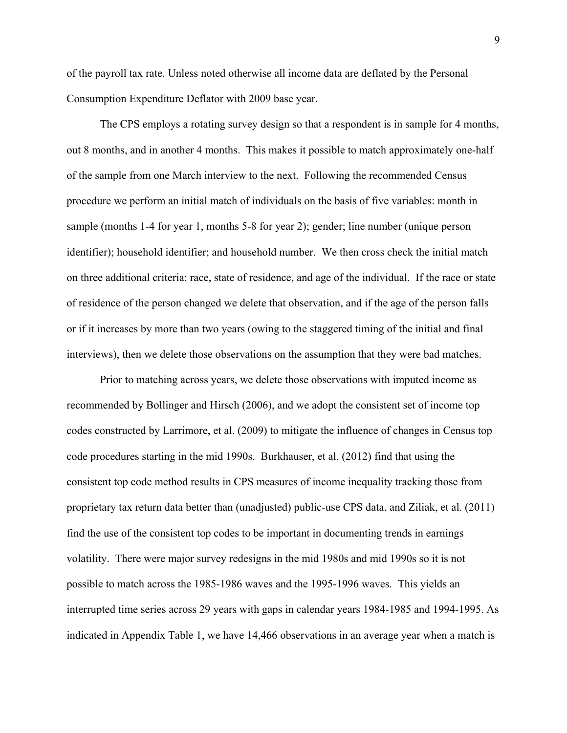of the payroll tax rate. Unless noted otherwise all income data are deflated by the Personal Consumption Expenditure Deflator with 2009 base year.

The CPS employs a rotating survey design so that a respondent is in sample for 4 months, out 8 months, and in another 4 months. This makes it possible to match approximately one-half of the sample from one March interview to the next. Following the recommended Census procedure we perform an initial match of individuals on the basis of five variables: month in sample (months 1-4 for year 1, months 5-8 for year 2); gender; line number (unique person identifier); household identifier; and household number. We then cross check the initial match on three additional criteria: race, state of residence, and age of the individual. If the race or state of residence of the person changed we delete that observation, and if the age of the person falls or if it increases by more than two years (owing to the staggered timing of the initial and final interviews), then we delete those observations on the assumption that they were bad matches.

Prior to matching across years, we delete those observations with imputed income as recommended by Bollinger and Hirsch (2006), and we adopt the consistent set of income top codes constructed by Larrimore, et al. (2009) to mitigate the influence of changes in Census top code procedures starting in the mid 1990s. Burkhauser, et al. (2012) find that using the consistent top code method results in CPS measures of income inequality tracking those from proprietary tax return data better than (unadjusted) public-use CPS data, and Ziliak, et al. (2011) find the use of the consistent top codes to be important in documenting trends in earnings volatility. There were major survey redesigns in the mid 1980s and mid 1990s so it is not possible to match across the 1985-1986 waves and the 1995-1996 waves. This yields an interrupted time series across 29 years with gaps in calendar years 1984-1985 and 1994-1995. As indicated in Appendix Table 1, we have 14,466 observations in an average year when a match is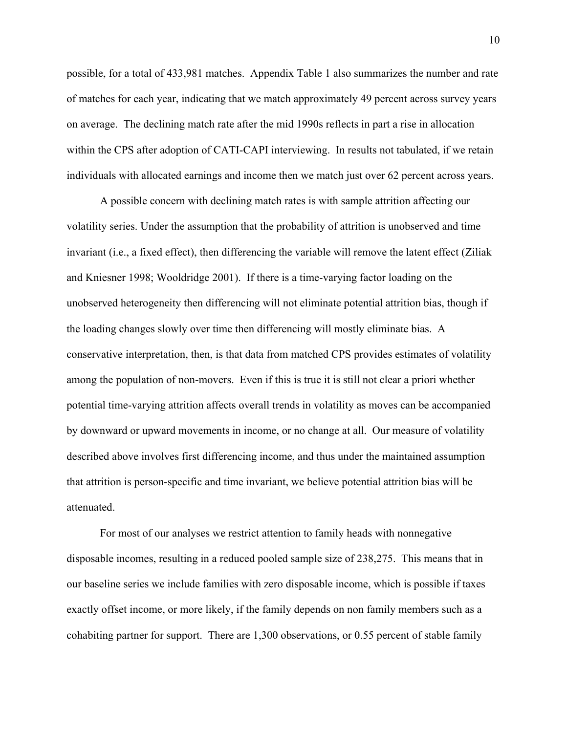possible, for a total of 433,981 matches. Appendix Table 1 also summarizes the number and rate of matches for each year, indicating that we match approximately 49 percent across survey years on average. The declining match rate after the mid 1990s reflects in part a rise in allocation within the CPS after adoption of CATI-CAPI interviewing. In results not tabulated, if we retain individuals with allocated earnings and income then we match just over 62 percent across years.

A possible concern with declining match rates is with sample attrition affecting our volatility series. Under the assumption that the probability of attrition is unobserved and time invariant (i.e., a fixed effect), then differencing the variable will remove the latent effect (Ziliak and Kniesner 1998; Wooldridge 2001). If there is a time-varying factor loading on the unobserved heterogeneity then differencing will not eliminate potential attrition bias, though if the loading changes slowly over time then differencing will mostly eliminate bias. A conservative interpretation, then, is that data from matched CPS provides estimates of volatility among the population of non-movers. Even if this is true it is still not clear a priori whether potential time-varying attrition affects overall trends in volatility as moves can be accompanied by downward or upward movements in income, or no change at all. Our measure of volatility described above involves first differencing income, and thus under the maintained assumption that attrition is person-specific and time invariant, we believe potential attrition bias will be attenuated.

For most of our analyses we restrict attention to family heads with nonnegative disposable incomes, resulting in a reduced pooled sample size of 238,275. This means that in our baseline series we include families with zero disposable income, which is possible if taxes exactly offset income, or more likely, if the family depends on non family members such as a cohabiting partner for support. There are 1,300 observations, or 0.55 percent of stable family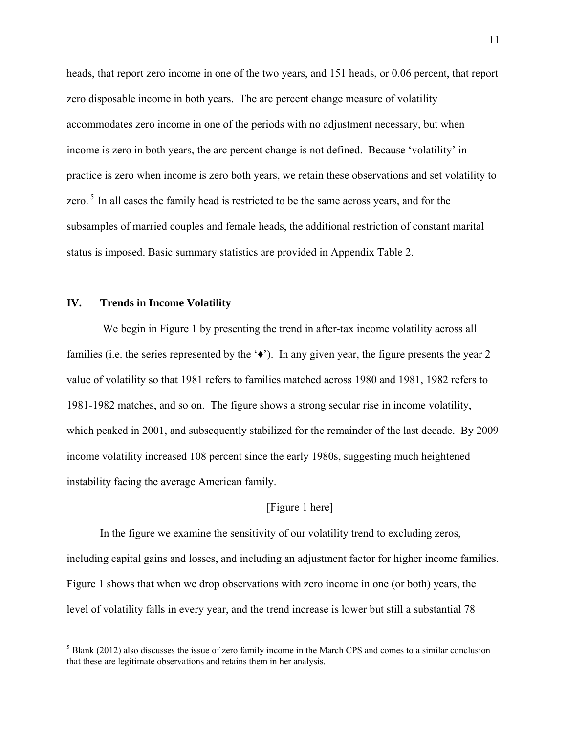heads, that report zero income in one of the two years, and 151 heads, or 0.06 percent, that report zero disposable income in both years. The arc percent change measure of volatility accommodates zero income in one of the periods with no adjustment necessary, but when income is zero in both years, the arc percent change is not defined. Because 'volatility' in practice is zero when income is zero both years, we retain these observations and set volatility to zero.<sup>5</sup> In all cases the family head is restricted to be the same across years, and for the subsamples of married couples and female heads, the additional restriction of constant marital status is imposed. Basic summary statistics are provided in Appendix Table 2.

# **IV. Trends in Income Volatility**

 $\overline{a}$ 

 We begin in Figure 1 by presenting the trend in after-tax income volatility across all families (i.e. the series represented by the  $\langle \cdot \rangle$ ). In any given year, the figure presents the year 2 value of volatility so that 1981 refers to families matched across 1980 and 1981, 1982 refers to 1981-1982 matches, and so on. The figure shows a strong secular rise in income volatility, which peaked in 2001, and subsequently stabilized for the remainder of the last decade. By 2009 income volatility increased 108 percent since the early 1980s, suggesting much heightened instability facing the average American family.

# [Figure 1 here]

In the figure we examine the sensitivity of our volatility trend to excluding zeros, including capital gains and losses, and including an adjustment factor for higher income families. Figure 1 shows that when we drop observations with zero income in one (or both) years, the level of volatility falls in every year, and the trend increase is lower but still a substantial 78

 $<sup>5</sup>$  Blank (2012) also discusses the issue of zero family income in the March CPS and comes to a similar conclusion</sup> that these are legitimate observations and retains them in her analysis.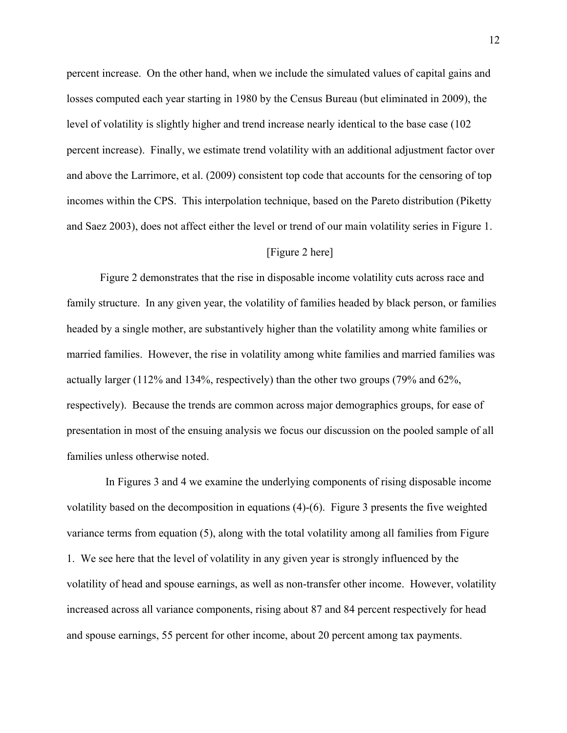percent increase. On the other hand, when we include the simulated values of capital gains and losses computed each year starting in 1980 by the Census Bureau (but eliminated in 2009), the level of volatility is slightly higher and trend increase nearly identical to the base case (102 percent increase). Finally, we estimate trend volatility with an additional adjustment factor over and above the Larrimore, et al. (2009) consistent top code that accounts for the censoring of top incomes within the CPS. This interpolation technique, based on the Pareto distribution (Piketty and Saez 2003), does not affect either the level or trend of our main volatility series in Figure 1.

# [Figure 2 here]

Figure 2 demonstrates that the rise in disposable income volatility cuts across race and family structure. In any given year, the volatility of families headed by black person, or families headed by a single mother, are substantively higher than the volatility among white families or married families. However, the rise in volatility among white families and married families was actually larger (112% and 134%, respectively) than the other two groups (79% and 62%, respectively). Because the trends are common across major demographics groups, for ease of presentation in most of the ensuing analysis we focus our discussion on the pooled sample of all families unless otherwise noted.

 In Figures 3 and 4 we examine the underlying components of rising disposable income volatility based on the decomposition in equations (4)-(6). Figure 3 presents the five weighted variance terms from equation (5), along with the total volatility among all families from Figure 1. We see here that the level of volatility in any given year is strongly influenced by the volatility of head and spouse earnings, as well as non-transfer other income. However, volatility increased across all variance components, rising about 87 and 84 percent respectively for head and spouse earnings, 55 percent for other income, about 20 percent among tax payments.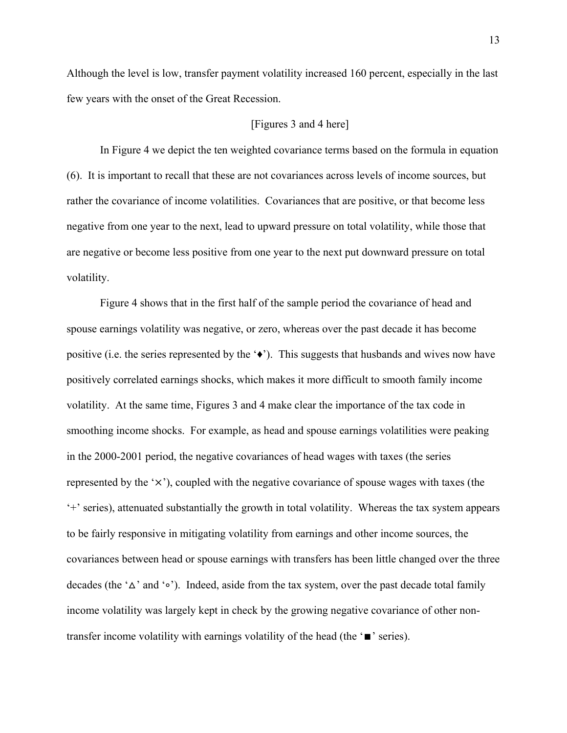Although the level is low, transfer payment volatility increased 160 percent, especially in the last few years with the onset of the Great Recession.

#### [Figures 3 and 4 here]

In Figure 4 we depict the ten weighted covariance terms based on the formula in equation (6). It is important to recall that these are not covariances across levels of income sources, but rather the covariance of income volatilities. Covariances that are positive, or that become less negative from one year to the next, lead to upward pressure on total volatility, while those that are negative or become less positive from one year to the next put downward pressure on total volatility.

Figure 4 shows that in the first half of the sample period the covariance of head and spouse earnings volatility was negative, or zero, whereas over the past decade it has become positive (i.e. the series represented by the  $\ddot{\bullet}$ ). This suggests that husbands and wives now have positively correlated earnings shocks, which makes it more difficult to smooth family income volatility. At the same time, Figures 3 and 4 make clear the importance of the tax code in smoothing income shocks. For example, as head and spouse earnings volatilities were peaking in the 2000-2001 period, the negative covariances of head wages with taxes (the series represented by the  $\langle x \rangle$ , coupled with the negative covariance of spouse wages with taxes (the '+' series), attenuated substantially the growth in total volatility. Whereas the tax system appears to be fairly responsive in mitigating volatility from earnings and other income sources, the covariances between head or spouse earnings with transfers has been little changed over the three decades (the 'ᇞ' and '∘'). Indeed, aside from the tax system, over the past decade total family income volatility was largely kept in check by the growing negative covariance of other nontransfer income volatility with earnings volatility of the head (the '∎' series).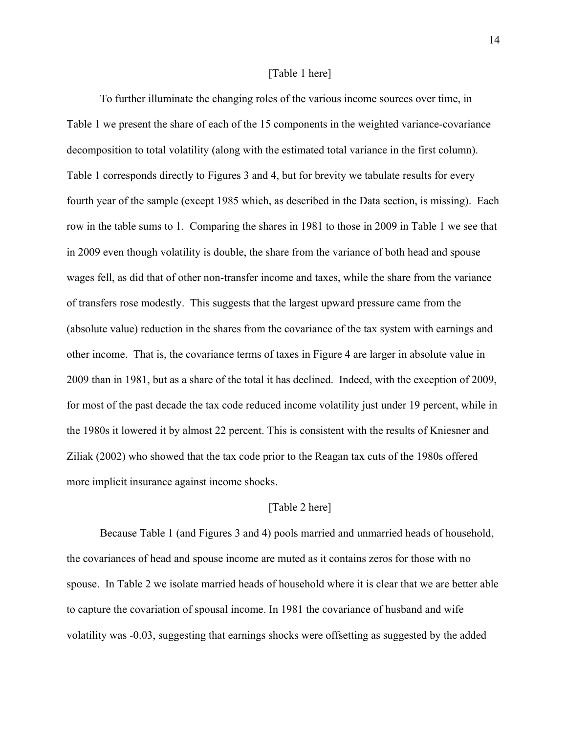#### [Table 1 here]

To further illuminate the changing roles of the various income sources over time, in Table 1 we present the share of each of the 15 components in the weighted variance-covariance decomposition to total volatility (along with the estimated total variance in the first column). Table 1 corresponds directly to Figures 3 and 4, but for brevity we tabulate results for every fourth year of the sample (except 1985 which, as described in the Data section, is missing). Each row in the table sums to 1. Comparing the shares in 1981 to those in 2009 in Table 1 we see that in 2009 even though volatility is double, the share from the variance of both head and spouse wages fell, as did that of other non-transfer income and taxes, while the share from the variance of transfers rose modestly. This suggests that the largest upward pressure came from the (absolute value) reduction in the shares from the covariance of the tax system with earnings and other income. That is, the covariance terms of taxes in Figure 4 are larger in absolute value in 2009 than in 1981, but as a share of the total it has declined. Indeed, with the exception of 2009, for most of the past decade the tax code reduced income volatility just under 19 percent, while in the 1980s it lowered it by almost 22 percent. This is consistent with the results of Kniesner and Ziliak (2002) who showed that the tax code prior to the Reagan tax cuts of the 1980s offered more implicit insurance against income shocks.

#### [Table 2 here]

Because Table 1 (and Figures 3 and 4) pools married and unmarried heads of household, the covariances of head and spouse income are muted as it contains zeros for those with no spouse. In Table 2 we isolate married heads of household where it is clear that we are better able to capture the covariation of spousal income. In 1981 the covariance of husband and wife volatility was -0.03, suggesting that earnings shocks were offsetting as suggested by the added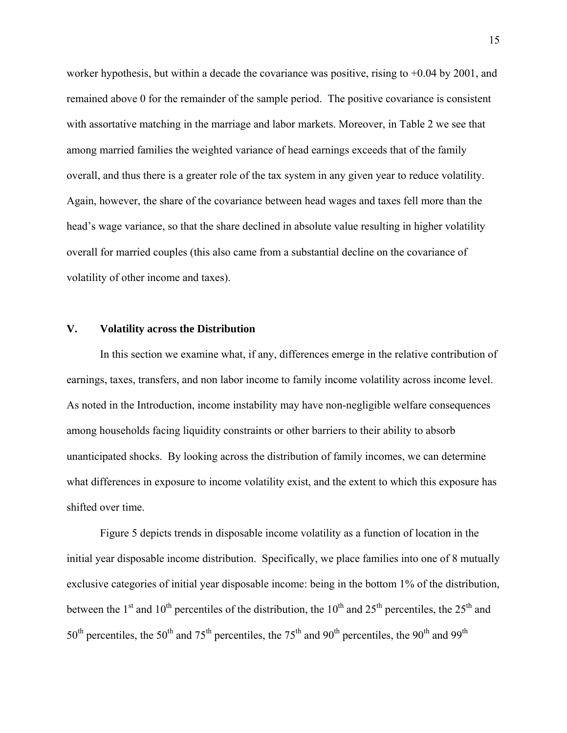worker hypothesis, but within a decade the covariance was positive, rising to  $+0.04$  by 2001, and remained above 0 for the remainder of the sample period. The positive covariance is consistent with assortative matching in the marriage and labor markets. Moreover, in Table 2 we see that among married families the weighted variance of head earnings exceeds that of the family overall, and thus there is a greater role of the tax system in any given year to reduce volatility. Again, however, the share of the covariance between head wages and taxes fell more than the head's wage variance, so that the share declined in absolute value resulting in higher volatility overall for married couples (this also came from a substantial decline on the covariance of volatility of other income and taxes).

#### **V. Volatility across the Distribution**

In this section we examine what, if any, differences emerge in the relative contribution of earnings, taxes, transfers, and non labor income to family income volatility across income level. As noted in the Introduction, income instability may have non-negligible welfare consequences among households facing liquidity constraints or other barriers to their ability to absorb unanticipated shocks. By looking across the distribution of family incomes, we can determine what differences in exposure to income volatility exist, and the extent to which this exposure has shifted over time.

Figure 5 depicts trends in disposable income volatility as a function of location in the initial year disposable income distribution. Specifically, we place families into one of 8 mutually exclusive categories of initial year disposable income: being in the bottom 1% of the distribution, between the 1<sup>st</sup> and 10<sup>th</sup> percentiles of the distribution, the 10<sup>th</sup> and 25<sup>th</sup> percentiles, the 25<sup>th</sup> and  $50<sup>th</sup>$  percentiles, the  $50<sup>th</sup>$  and  $75<sup>th</sup>$  percentiles, the  $75<sup>th</sup>$  and  $90<sup>th</sup>$  percentiles, the  $90<sup>th</sup>$  and  $99<sup>th</sup>$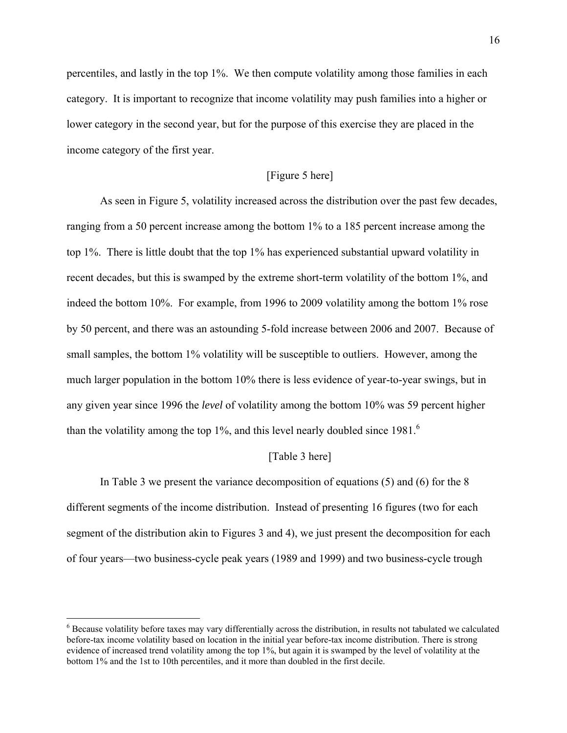percentiles, and lastly in the top 1%. We then compute volatility among those families in each category. It is important to recognize that income volatility may push families into a higher or lower category in the second year, but for the purpose of this exercise they are placed in the income category of the first year.

# [Figure 5 here]

As seen in Figure 5, volatility increased across the distribution over the past few decades, ranging from a 50 percent increase among the bottom 1% to a 185 percent increase among the top 1%. There is little doubt that the top 1% has experienced substantial upward volatility in recent decades, but this is swamped by the extreme short-term volatility of the bottom 1%, and indeed the bottom 10%. For example, from 1996 to 2009 volatility among the bottom 1% rose by 50 percent, and there was an astounding 5-fold increase between 2006 and 2007. Because of small samples, the bottom 1% volatility will be susceptible to outliers. However, among the much larger population in the bottom 10% there is less evidence of year-to-year swings, but in any given year since 1996 the *level* of volatility among the bottom 10% was 59 percent higher than the volatility among the top  $1\%$ , and this level nearly doubled since  $1981<sup>6</sup>$ 

#### [Table 3 here]

 In Table 3 we present the variance decomposition of equations (5) and (6) for the 8 different segments of the income distribution. Instead of presenting 16 figures (two for each segment of the distribution akin to Figures 3 and 4), we just present the decomposition for each of four years—two business-cycle peak years (1989 and 1999) and two business-cycle trough

<u>.</u>

 $6$  Because volatility before taxes may vary differentially across the distribution, in results not tabulated we calculated before-tax income volatility based on location in the initial year before-tax income distribution. There is strong evidence of increased trend volatility among the top 1%, but again it is swamped by the level of volatility at the bottom 1% and the 1st to 10th percentiles, and it more than doubled in the first decile.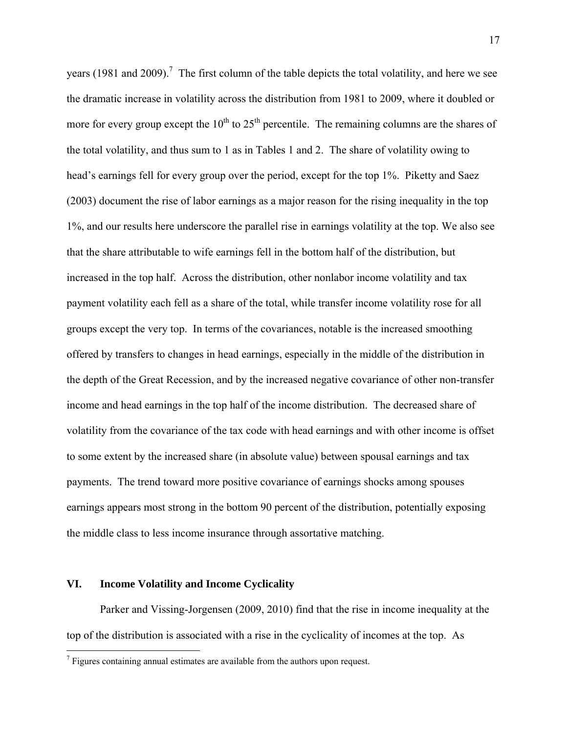years (1981 and 2009).<sup>7</sup> The first column of the table depicts the total volatility, and here we see the dramatic increase in volatility across the distribution from 1981 to 2009, where it doubled or more for every group except the  $10^{th}$  to  $25^{th}$  percentile. The remaining columns are the shares of the total volatility, and thus sum to 1 as in Tables 1 and 2. The share of volatility owing to head's earnings fell for every group over the period, except for the top 1%. Piketty and Saez (2003) document the rise of labor earnings as a major reason for the rising inequality in the top 1%, and our results here underscore the parallel rise in earnings volatility at the top. We also see that the share attributable to wife earnings fell in the bottom half of the distribution, but increased in the top half. Across the distribution, other nonlabor income volatility and tax payment volatility each fell as a share of the total, while transfer income volatility rose for all groups except the very top. In terms of the covariances, notable is the increased smoothing offered by transfers to changes in head earnings, especially in the middle of the distribution in the depth of the Great Recession, and by the increased negative covariance of other non-transfer income and head earnings in the top half of the income distribution. The decreased share of volatility from the covariance of the tax code with head earnings and with other income is offset to some extent by the increased share (in absolute value) between spousal earnings and tax payments. The trend toward more positive covariance of earnings shocks among spouses earnings appears most strong in the bottom 90 percent of the distribution, potentially exposing the middle class to less income insurance through assortative matching.

#### **VI. Income Volatility and Income Cyclicality**

<u>.</u>

 Parker and Vissing-Jorgensen (2009, 2010) find that the rise in income inequality at the top of the distribution is associated with a rise in the cyclicality of incomes at the top. As

 $<sup>7</sup>$  Figures containing annual estimates are available from the authors upon request.</sup>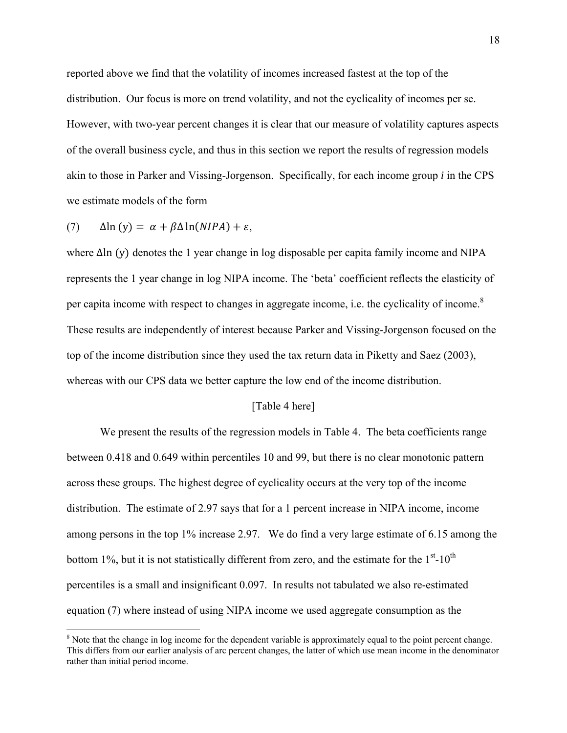reported above we find that the volatility of incomes increased fastest at the top of the distribution. Our focus is more on trend volatility, and not the cyclicality of incomes per se. However, with two-year percent changes it is clear that our measure of volatility captures aspects of the overall business cycle, and thus in this section we report the results of regression models akin to those in Parker and Vissing-Jorgenson. Specifically, for each income group *i* in the CPS we estimate models of the form

(7)  $\Delta \ln(y) = \alpha + \beta \Delta \ln(NIPA) + \varepsilon$ ,

1

where  $\Delta$ ln (y) denotes the 1 year change in log disposable per capita family income and NIPA represents the 1 year change in log NIPA income. The 'beta' coefficient reflects the elasticity of per capita income with respect to changes in aggregate income, i.e. the cyclicality of income.<sup>8</sup> These results are independently of interest because Parker and Vissing-Jorgenson focused on the top of the income distribution since they used the tax return data in Piketty and Saez (2003), whereas with our CPS data we better capture the low end of the income distribution.

#### [Table 4 here]

We present the results of the regression models in Table 4. The beta coefficients range between 0.418 and 0.649 within percentiles 10 and 99, but there is no clear monotonic pattern across these groups. The highest degree of cyclicality occurs at the very top of the income distribution. The estimate of 2.97 says that for a 1 percent increase in NIPA income, income among persons in the top 1% increase 2.97. We do find a very large estimate of 6.15 among the bottom 1%, but it is not statistically different from zero, and the estimate for the  $1<sup>st</sup>$ -10<sup>th</sup> percentiles is a small and insignificant 0.097. In results not tabulated we also re-estimated equation (7) where instead of using NIPA income we used aggregate consumption as the

<sup>&</sup>lt;sup>8</sup> Note that the change in log income for the dependent variable is approximately equal to the point percent change. This differs from our earlier analysis of arc percent changes, the latter of which use mean income in the denominator rather than initial period income.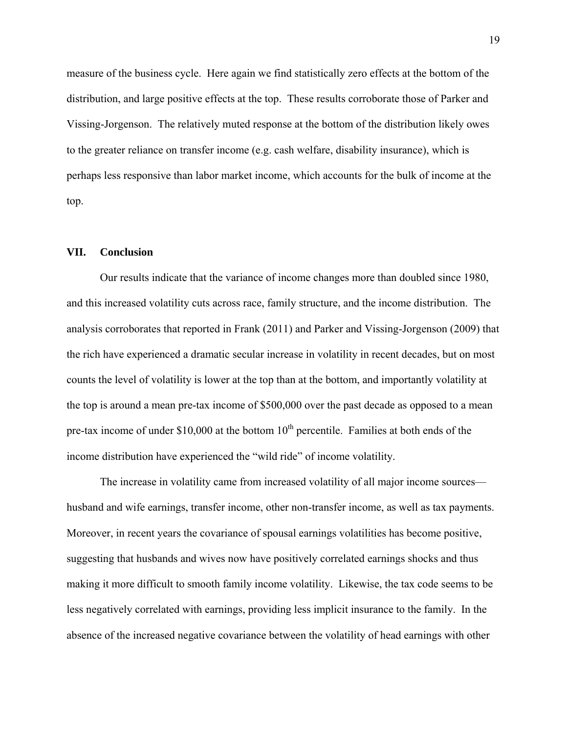measure of the business cycle. Here again we find statistically zero effects at the bottom of the distribution, and large positive effects at the top. These results corroborate those of Parker and Vissing-Jorgenson. The relatively muted response at the bottom of the distribution likely owes to the greater reliance on transfer income (e.g. cash welfare, disability insurance), which is perhaps less responsive than labor market income, which accounts for the bulk of income at the top.

#### **VII. Conclusion**

Our results indicate that the variance of income changes more than doubled since 1980, and this increased volatility cuts across race, family structure, and the income distribution. The analysis corroborates that reported in Frank (2011) and Parker and Vissing-Jorgenson (2009) that the rich have experienced a dramatic secular increase in volatility in recent decades, but on most counts the level of volatility is lower at the top than at the bottom, and importantly volatility at the top is around a mean pre-tax income of \$500,000 over the past decade as opposed to a mean pre-tax income of under  $$10,000$  at the bottom  $10<sup>th</sup>$  percentile. Families at both ends of the income distribution have experienced the "wild ride" of income volatility.

The increase in volatility came from increased volatility of all major income sources husband and wife earnings, transfer income, other non-transfer income, as well as tax payments. Moreover, in recent years the covariance of spousal earnings volatilities has become positive, suggesting that husbands and wives now have positively correlated earnings shocks and thus making it more difficult to smooth family income volatility. Likewise, the tax code seems to be less negatively correlated with earnings, providing less implicit insurance to the family. In the absence of the increased negative covariance between the volatility of head earnings with other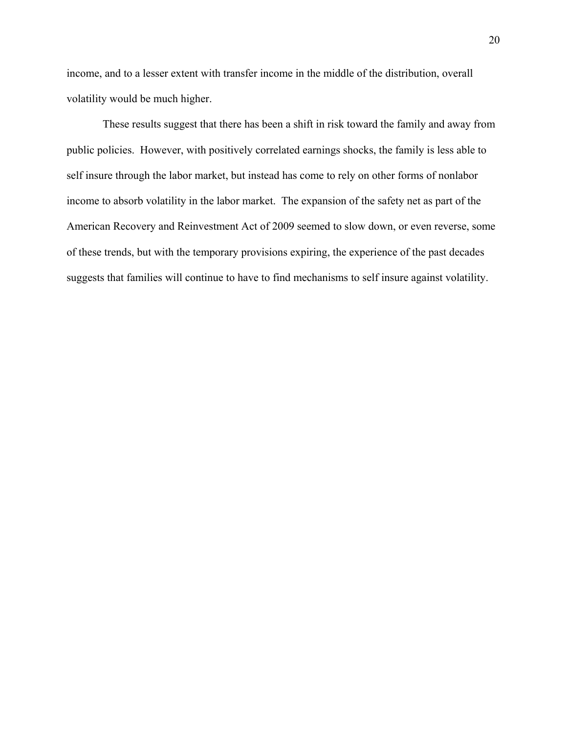income, and to a lesser extent with transfer income in the middle of the distribution, overall volatility would be much higher.

 These results suggest that there has been a shift in risk toward the family and away from public policies. However, with positively correlated earnings shocks, the family is less able to self insure through the labor market, but instead has come to rely on other forms of nonlabor income to absorb volatility in the labor market. The expansion of the safety net as part of the American Recovery and Reinvestment Act of 2009 seemed to slow down, or even reverse, some of these trends, but with the temporary provisions expiring, the experience of the past decades suggests that families will continue to have to find mechanisms to self insure against volatility.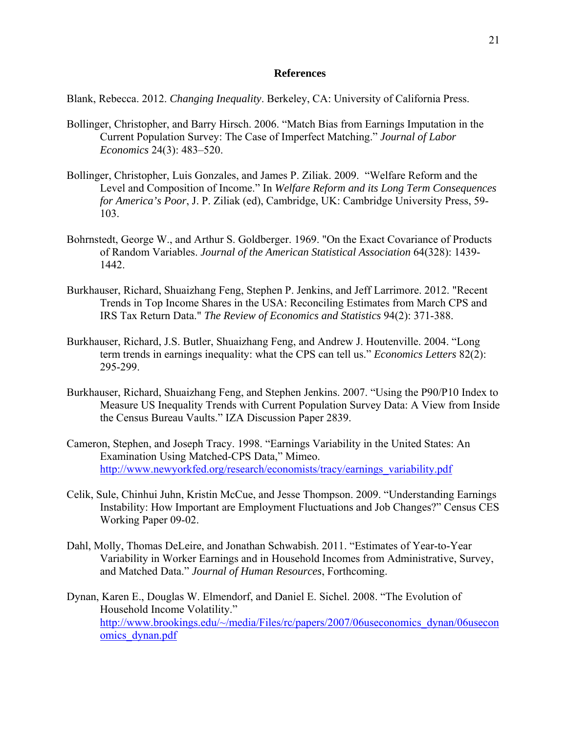#### **References**

Blank, Rebecca. 2012. *Changing Inequality*. Berkeley, CA: University of California Press.

- Bollinger, Christopher, and Barry Hirsch. 2006. "Match Bias from Earnings Imputation in the Current Population Survey: The Case of Imperfect Matching." *Journal of Labor Economics* 24(3): 483–520.
- Bollinger, Christopher, Luis Gonzales, and James P. Ziliak. 2009. "Welfare Reform and the Level and Composition of Income." In *Welfare Reform and its Long Term Consequences for America's Poor*, J. P. Ziliak (ed), Cambridge, UK: Cambridge University Press, 59- 103.
- Bohrnstedt, George W., and Arthur S. Goldberger. 1969. "On the Exact Covariance of Products of Random Variables. *Journal of the American Statistical Association* 64(328): 1439- 1442.
- Burkhauser, Richard, Shuaizhang Feng, Stephen P. Jenkins, and Jeff Larrimore. 2012. "Recent Trends in Top Income Shares in the USA: Reconciling Estimates from March CPS and IRS Tax Return Data." *The Review of Economics and Statistics* 94(2): 371-388.
- Burkhauser, Richard, J.S. Butler, Shuaizhang Feng, and Andrew J. Houtenville. 2004. "Long term trends in earnings inequality: what the CPS can tell us." *Economics Letters* 82(2): 295-299.
- Burkhauser, Richard, Shuaizhang Feng, and Stephen Jenkins. 2007. "Using the P90/P10 Index to Measure US Inequality Trends with Current Population Survey Data: A View from Inside the Census Bureau Vaults." IZA Discussion Paper 2839.
- Cameron, Stephen, and Joseph Tracy. 1998. "Earnings Variability in the United States: An Examination Using Matched-CPS Data," Mimeo. http://www.newyorkfed.org/research/economists/tracy/earnings\_variability.pdf
- Celik, Sule, Chinhui Juhn, Kristin McCue, and Jesse Thompson. 2009. "Understanding Earnings Instability: How Important are Employment Fluctuations and Job Changes?" Census CES Working Paper 09-02.
- Dahl, Molly, Thomas DeLeire, and Jonathan Schwabish. 2011. "Estimates of Year-to-Year Variability in Worker Earnings and in Household Incomes from Administrative, Survey, and Matched Data." *Journal of Human Resources*, Forthcoming.
- Dynan, Karen E., Douglas W. Elmendorf, and Daniel E. Sichel. 2008. "The Evolution of Household Income Volatility." http://www.brookings.edu/~/media/Files/rc/papers/2007/06useconomics\_dynan/06usecon omics\_dynan.pdf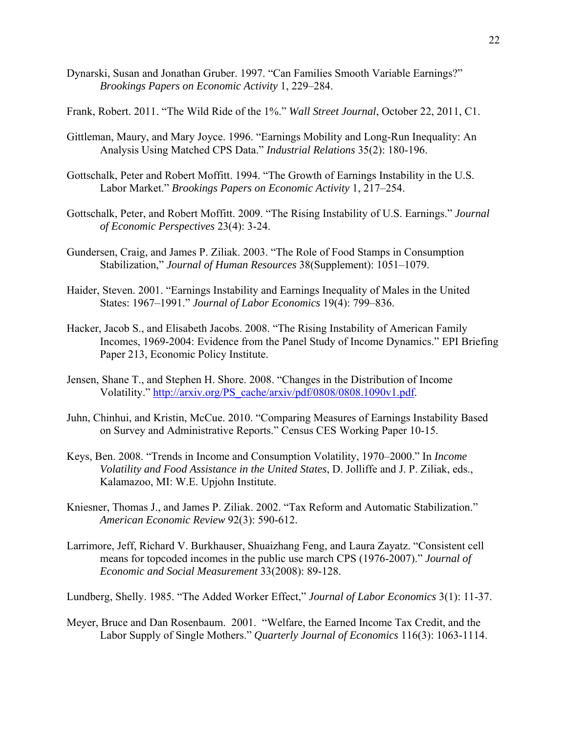Dynarski, Susan and Jonathan Gruber. 1997. "Can Families Smooth Variable Earnings?" *Brookings Papers on Economic Activity* 1, 229–284.

Frank, Robert. 2011. "The Wild Ride of the 1%." *Wall Street Journal*, October 22, 2011, C1.

- Gittleman, Maury, and Mary Joyce. 1996. "Earnings Mobility and Long-Run Inequality: An Analysis Using Matched CPS Data." *Industrial Relations* 35(2): 180-196.
- Gottschalk, Peter and Robert Moffitt. 1994. "The Growth of Earnings Instability in the U.S. Labor Market." *Brookings Papers on Economic Activity* 1, 217–254.
- Gottschalk, Peter, and Robert Moffitt. 2009. "The Rising Instability of U.S. Earnings." *Journal of Economic Perspectives* 23(4): 3-24.
- Gundersen, Craig, and James P. Ziliak. 2003. "The Role of Food Stamps in Consumption Stabilization," *Journal of Human Resources* 38(Supplement): 1051–1079.
- Haider, Steven. 2001. "Earnings Instability and Earnings Inequality of Males in the United States: 1967–1991." *Journal of Labor Economics* 19(4): 799–836.
- Hacker, Jacob S., and Elisabeth Jacobs. 2008. "The Rising Instability of American Family Incomes, 1969-2004: Evidence from the Panel Study of Income Dynamics." EPI Briefing Paper 213, Economic Policy Institute.
- Jensen, Shane T., and Stephen H. Shore. 2008. "Changes in the Distribution of Income Volatility." http://arxiv.org/PS\_cache/arxiv/pdf/0808/0808.1090v1.pdf.
- Juhn, Chinhui, and Kristin, McCue. 2010. "Comparing Measures of Earnings Instability Based on Survey and Administrative Reports." Census CES Working Paper 10-15.
- Keys, Ben. 2008. "Trends in Income and Consumption Volatility, 1970–2000." In *Income Volatility and Food Assistance in the United States*, D. Jolliffe and J. P. Ziliak, eds., Kalamazoo, MI: W.E. Upjohn Institute.
- Kniesner, Thomas J., and James P. Ziliak. 2002. "Tax Reform and Automatic Stabilization." *American Economic Review* 92(3): 590-612.
- Larrimore, Jeff, Richard V. Burkhauser, Shuaizhang Feng, and Laura Zayatz. "Consistent cell means for topcoded incomes in the public use march CPS (1976-2007)." *Journal of Economic and Social Measurement* 33(2008): 89-128.

Lundberg, Shelly. 1985. "The Added Worker Effect," *Journal of Labor Economics* 3(1): 11-37.

Meyer, Bruce and Dan Rosenbaum. 2001. "Welfare, the Earned Income Tax Credit, and the Labor Supply of Single Mothers." *Quarterly Journal of Economics* 116(3): 1063-1114.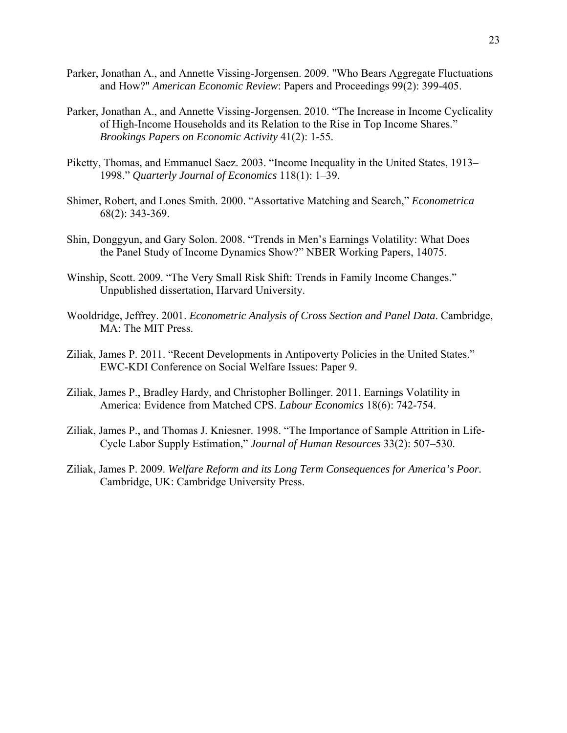- Parker, Jonathan A., and Annette Vissing-Jorgensen. 2009. "Who Bears Aggregate Fluctuations and How?" *American Economic Review*: Papers and Proceedings 99(2): 399-405.
- Parker, Jonathan A., and Annette Vissing-Jorgensen. 2010. "The Increase in Income Cyclicality of High-Income Households and its Relation to the Rise in Top Income Shares." *Brookings Papers on Economic Activity* 41(2): 1-55.
- Piketty, Thomas, and Emmanuel Saez. 2003. "Income Inequality in the United States, 1913– 1998." *Quarterly Journal of Economics* 118(1): 1–39.
- Shimer, Robert, and Lones Smith. 2000. "Assortative Matching and Search," *Econometrica* 68(2): 343-369.
- Shin, Donggyun, and Gary Solon. 2008. "Trends in Men's Earnings Volatility: What Does the Panel Study of Income Dynamics Show?" NBER Working Papers, 14075.
- Winship, Scott. 2009. "The Very Small Risk Shift: Trends in Family Income Changes." Unpublished dissertation, Harvard University.
- Wooldridge, Jeffrey. 2001. *Econometric Analysis of Cross Section and Panel Data*. Cambridge, MA: The MIT Press.
- Ziliak, James P. 2011. "Recent Developments in Antipoverty Policies in the United States." EWC-KDI Conference on Social Welfare Issues: Paper 9.
- Ziliak, James P., Bradley Hardy, and Christopher Bollinger. 2011. Earnings Volatility in America: Evidence from Matched CPS. *Labour Economics* 18(6): 742-754.
- Ziliak, James P., and Thomas J. Kniesner. 1998. "The Importance of Sample Attrition in Life-Cycle Labor Supply Estimation," *Journal of Human Resources* 33(2): 507–530.
- Ziliak, James P. 2009. *Welfare Reform and its Long Term Consequences for America's Poor.*  Cambridge, UK: Cambridge University Press.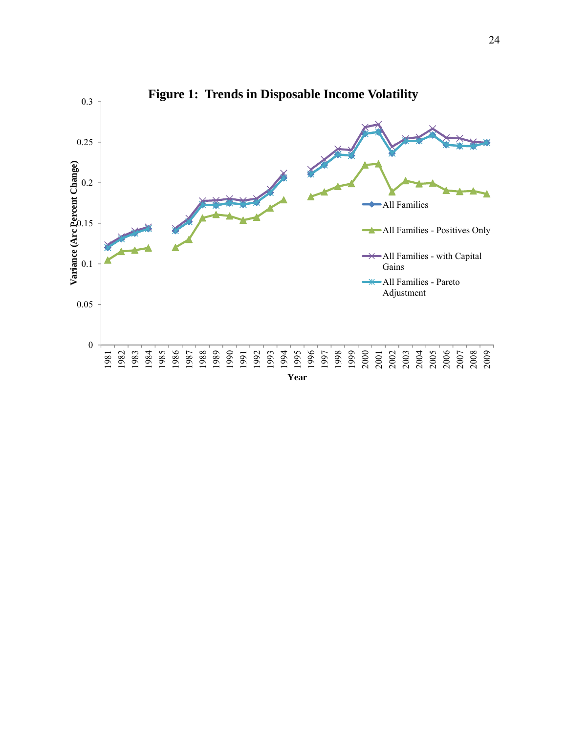

**Figure 1: Trends in Disposable Income Volatility**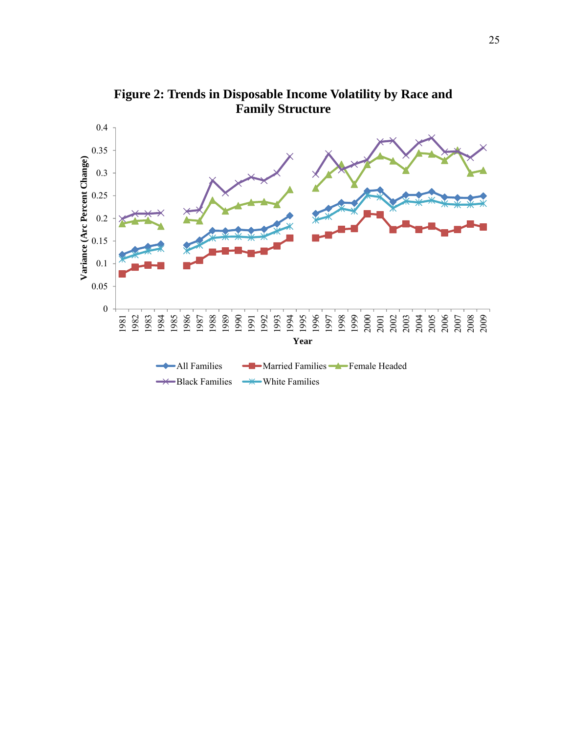

**Figure 2: Trends in Disposable Income Volatility by Race and Family Structure**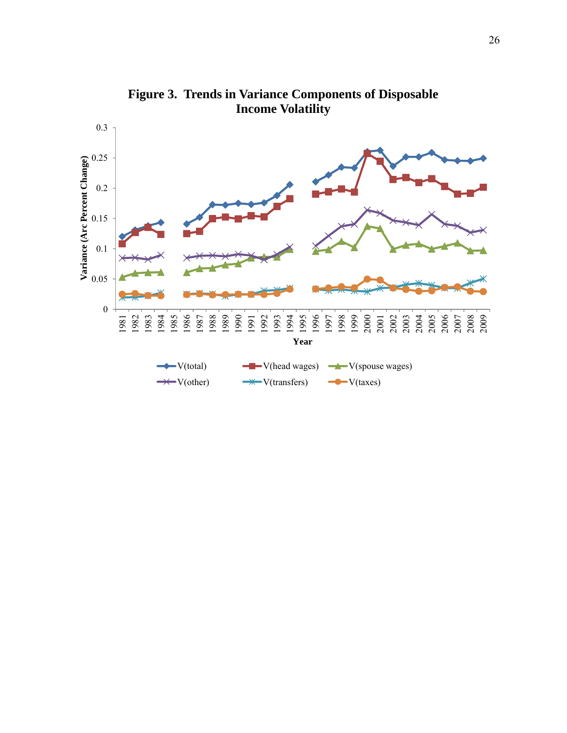

**Figure 3. Trends in Variance Components of Disposable Income Volatility**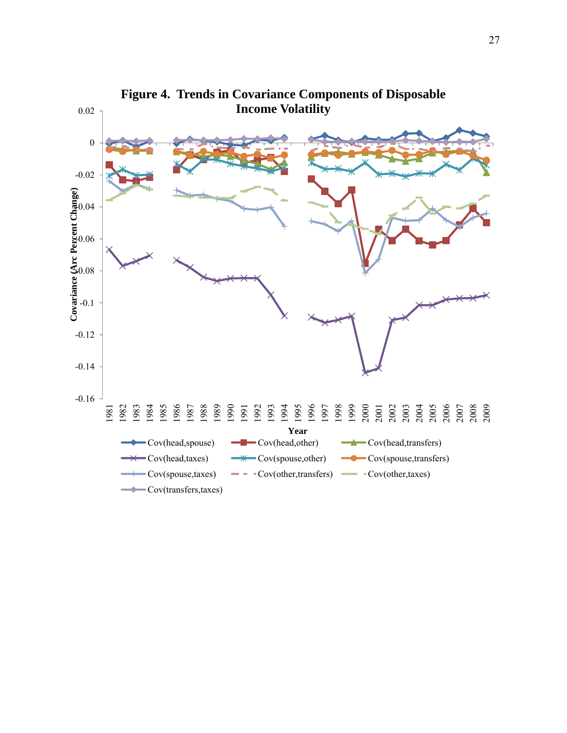

**Figure 4. Trends in Covariance Components of Disposable**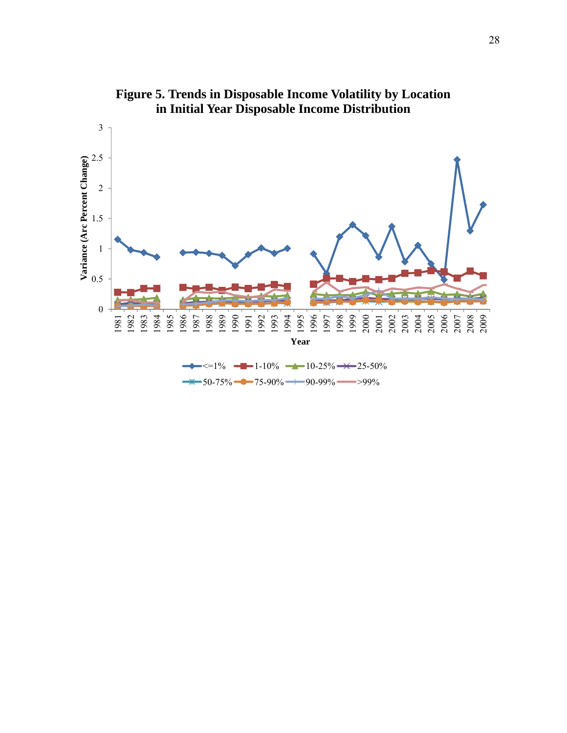

**Figure 5. Trends in Disposable Income Volatility by Location in Initial Year Disposable Income Distribution**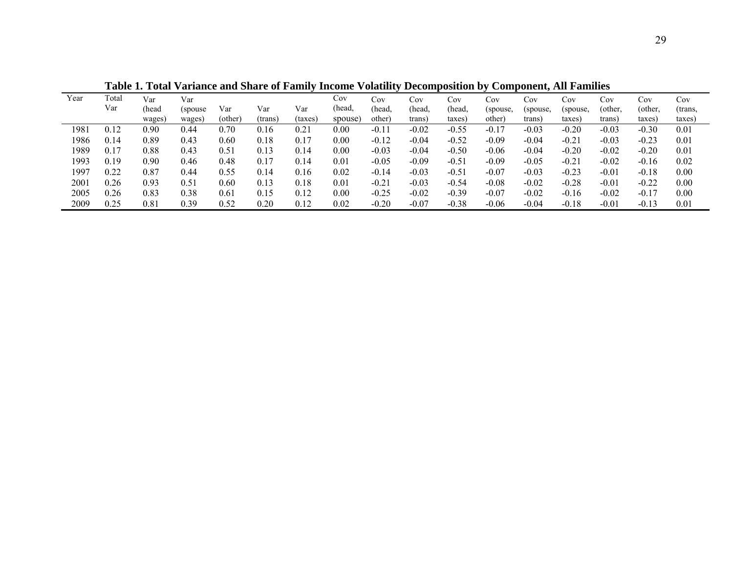|      | <br>--------<br>$\sim$ $\sim$ $\sim$ $\sim$ $\sim$<br><u>VULVAVAL</u><br>$\sim$ $\sim$ $\sim$ $\sim$ $\sim$<br>. |        |          |         |         |         |         |         |         |         |          |           |          |         |         |         |
|------|------------------------------------------------------------------------------------------------------------------|--------|----------|---------|---------|---------|---------|---------|---------|---------|----------|-----------|----------|---------|---------|---------|
| Year | Total                                                                                                            | Var    | Var      |         |         |         | Cov     | Cov     | Cov     | Cov     | Cov      | $\rm Cov$ | Cov      | Cov     | Cov     | Cov     |
|      | Var                                                                                                              | (head  | (spouse) | Var     | Var     | Var     | (head,  | (head.  | (head,  | (head,  | (spouse, | (spouse,  | (spouse, | (other. | (other. | (trans, |
|      |                                                                                                                  | wages) | wages    | (other) | (trans) | (taxes) | spouse) | other   | trans)  | taxes)  | other)   | trans     | taxes    | trans)  | taxes)  | taxes)  |
| 1981 |                                                                                                                  | 0.90   | 0.44     | 0.70    | 0.16    | 0.2     | 0.00    | $-0.11$ | $-0.02$ | $-0.55$ | $-0.17$  | $-0.03$   | $-0.20$  | $-0.03$ | $-0.30$ | 0.01    |
| 1986 | 0.14                                                                                                             | 0.89   | 0.43     | 0.60    | 0.18    | 0.17    | 0.00    | $-0.12$ | $-0.04$ | $-0.52$ | $-0.09$  | $-0.04$   | $-0.21$  | $-0.03$ | $-0.23$ | 0.01    |
| 1989 | 0.17                                                                                                             | 0.88   | 0.43     | 0.51    | 0.13    | 0.14    | 0.00    | $-0.03$ | $-0.04$ | $-0.50$ | $-0.06$  | $-0.04$   | $-0.20$  | $-0.02$ | $-0.20$ | 0.01    |
| 1993 | 0.19                                                                                                             | 0.90   | 0.46     | 0.48    | 0.17    | 0.14    | 0.01    | $-0.05$ | $-0.09$ | $-0.51$ | $-0.09$  | $-0.05$   | $-0.21$  | $-0.02$ | $-0.16$ | 0.02    |
| 1997 | 0.22                                                                                                             | 0.87   | 0.44     | 0.55    | 0.14    | 0.16    | 0.02    | $-0.14$ | $-0.03$ | $-0.51$ | $-0.07$  | $-0.03$   | $-0.23$  | $-0.01$ | $-0.18$ | 0.00    |
| 2001 | 0.26                                                                                                             | 0.93   | 0.51     | 0.60    | 0.13    | 0.18    | 0.01    | $-0.21$ | $-0.03$ | $-0.54$ | $-0.08$  | $-0.02$   | $-0.28$  | $-0.01$ | $-0.22$ | 0.00    |
| 2005 | 0.26                                                                                                             | 0.83   | 0.38     | 0.61    | 0.15    | 0.12    | 0.00    | $-0.25$ | $-0.02$ | $-0.39$ | $-0.07$  | $-0.02$   | $-0.16$  | $-0.02$ | $-0.17$ | 0.00    |
| 2009 | 0.25                                                                                                             | 0.81   | 0.39     | 0.52    | 0.20    | 0.12    | 0.02    | $-0.20$ | $-0.07$ | $-0.38$ | $-0.06$  | $-0.04$   | $-0.18$  | $-0.01$ | $-0.13$ | 0.01    |

 **Table 1. Total Variance and Share of Family Income Volatility Decomposition by Component, All Families**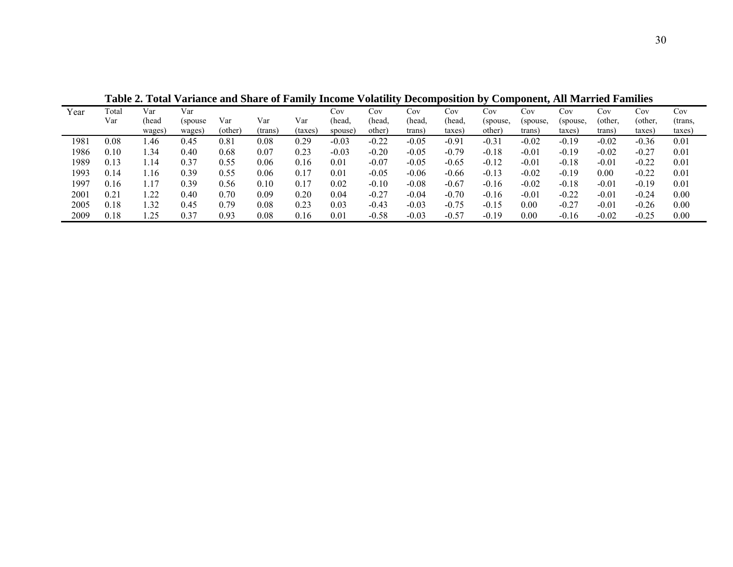| Year | Total | Var    | Var      |         |         |         | $\cos$  | Cov     | $\rm Cov$ | Cov     | Cov      | Cov      | Cov      | Cov     | Cov     | Cov     |
|------|-------|--------|----------|---------|---------|---------|---------|---------|-----------|---------|----------|----------|----------|---------|---------|---------|
|      | Var   | head   | (spouse) | Var     | Var     | Var     | (head.  | (head.  | (head.    | head,   | (spouse, | (spouse, | (spouse, | (other, | (other, | (trans. |
|      |       | wages) | wages)   | (other) | (trans) | (taxes) | spouse  | other)  | trans)    | taxes)  | other    | trans)   | taxes)   | trans)  | taxes)  | taxes)  |
| 1981 | 0.08  | 1.46   | 0.45     | 0.81    | 0.08    | 0.29    | $-0.03$ | $-0.22$ | $-0.05$   | $-0.91$ | $-0.31$  | $-0.02$  | $-0.19$  | $-0.02$ | $-0.36$ | 0.01    |
| 1986 | 0.10  | .34    | 0.40     | 0.68    | 0.07    | 0.23    | $-0.03$ | $-0.20$ | $-0.05$   | $-0.79$ | $-0.18$  | $-0.01$  | $-0.19$  | $-0.02$ | $-0.27$ | 0.01    |
| 1989 | 0.13  | 14، ،  | 0.37     | 0.55    | 0.06    | 0.16    | 0.01    | $-0.07$ | $-0.05$   | $-0.65$ | $-0.12$  | $-0.01$  | $-0.18$  | $-0.01$ | $-0.22$ | 0.01    |
| 1993 | 0.14  | 16،،   | 0.39     | 0.55    | 0.06    | 0.17    | 0.01    | $-0.05$ | $-0.06$   | $-0.66$ | $-0.13$  | $-0.02$  | $-0.19$  | 0.00    | $-0.22$ | 0.01    |
| 1997 | 0.16  | 1.17   | 0.39     | 0.56    | 0.10    | 0.17    | 0.02    | $-0.10$ | $-0.08$   | $-0.67$ | $-0.16$  | $-0.02$  | $-0.18$  | $-0.01$ | $-0.19$ | 0.01    |
| 2001 | 0.21  | .22    | 0.40     | 0.70    | 0.09    | 0.20    | 0.04    | $-0.27$ | $-0.04$   | $-0.70$ | $-0.16$  | $-0.01$  | $-0.22$  | $-0.01$ | $-0.24$ | 0.00    |
| 2005 | 0.18  | l.32   | 0.45     | 0.79    | 0.08    | 0.23    | 0.03    | $-0.43$ | $-0.03$   | $-0.75$ | $-0.15$  | 0.00     | $-0.27$  | $-0.01$ | $-0.26$ | 0.00    |
| 2009 | 0.18  | .25    | 0.37     | 0.93    | 0.08    | 0.16    | 0.01    | $-0.58$ | $-0.03$   | $-0.57$ | $-0.19$  | 0.00     | $-0.16$  | $-0.02$ | $-0.25$ | 0.00    |

 **Table 2. Total Variance and Share of Family Income Volatility Decomposition by Component, All Married Families**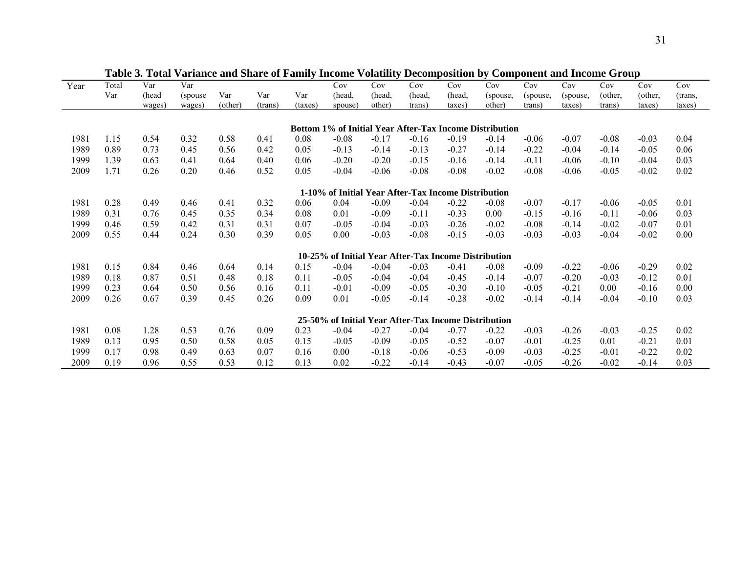| Year<br>Total<br>Var<br>Cov<br>Cov<br>Cov<br>Cov<br>Cov<br>Cov<br>Cov<br>Cov<br>Var<br>Cov<br>Cov<br>Var<br>Var<br>Var<br>(head<br>Var<br>(head,<br>(other,<br>(head,<br>(head,<br>(other,<br>(head,<br>(spouse)<br>(spouse,<br>(spouse,<br>(spouse,<br>(trans,<br>(other)<br>other)<br>other)<br>(trans)<br>(taxes)<br>trans)<br>taxes)<br>taxes)<br>trans)<br>taxes)<br>taxes)<br>wages)<br>wages)<br>spouse)<br>trans)<br>Bottom 1% of Initial Year After-Tax Income Distribution<br>1981<br>1.15<br>0.54<br>0.32<br>0.58<br>0.08<br>$-0.08$<br>$-0.17$<br>$-0.16$<br>$-0.19$<br>$-0.14$<br>$-0.06$<br>$-0.07$<br>$-0.08$<br>$-0.03$<br>0.04<br>0.41<br>1989<br>0.89<br>0.73<br>0.42<br>$-0.13$<br>$-0.27$<br>$-0.14$<br>0.06<br>0.45<br>0.56<br>0.05<br>$-0.13$<br>$-0.14$<br>$-0.22$<br>$-0.04$<br>$-0.05$<br>$-0.14$<br>1999<br>1.39<br>0.63<br>0.40<br>$-0.15$<br>$-0.14$<br>$-0.10$<br>0.03<br>0.41<br>0.64<br>0.06<br>$-0.20$<br>$-0.20$<br>$-0.16$<br>$-0.11$<br>$-0.06$<br>$-0.04$<br>2009<br>1.71<br>0.26<br>0.20<br>0.46<br>0.52<br>0.05<br>$-0.08$<br>$-0.08$<br>$-0.02$<br>$-0.05$<br>$-0.02$<br>0.02<br>$-0.04$<br>$-0.06$<br>$-0.08$<br>$-0.06$<br>1-10% of Initial Year After-Tax Income Distribution<br>1981<br>0.28<br>0.49<br>0.32<br>0.04<br>$-0.09$<br>$-0.04$<br>$-0.22$<br>$-0.08$<br>$-0.05$<br>0.01<br>0.46<br>0.41<br>0.06<br>$-0.07$<br>$-0.17$<br>$-0.06$<br>1989<br>0.31<br>$-0.33$<br>$-0.11$<br>0.03<br>0.76<br>0.35<br>0.34<br>0.08<br>0.01<br>$-0.09$<br>$-0.11$<br>0.00<br>$-0.15$<br>0.45<br>$-0.16$<br>$-0.06$<br>1999<br>0.59<br>0.31<br>$-0.03$<br>$-0.02$<br>0.01<br>0.46<br>0.42<br>0.31<br>0.07<br>$-0.05$<br>$-0.26$<br>$-0.02$<br>$-0.07$<br>$-0.04$<br>$-0.08$<br>$-0.14$<br>2009<br>0.55<br>0.44<br>0.24<br>0.30<br>0.39<br>0.05<br>0.00<br>$-0.03$<br>$-0.08$<br>$-0.15$<br>$-0.03$<br>$-0.03$<br>$-0.03$<br>$-0.04$<br>$-0.02$<br>0.00<br>10-25% of Initial Year After-Tax Income Distribution<br>1981<br>0.15<br>$-0.08$<br>$-0.29$<br>0.02<br>0.84<br>0.64<br>0.14<br>0.15<br>$-0.04$<br>$-0.04$<br>$-0.03$<br>$-0.41$<br>$-0.09$<br>$-0.22$<br>$-0.06$<br>0.46<br>1989<br>0.18<br>0.87<br>0.48<br>0.18<br>$-0.04$<br>$-0.14$<br>$-0.03$<br>$-0.12$<br>0.01<br>0.51<br>0.11<br>$-0.05$<br>$-0.04$<br>$-0.45$<br>$-0.07$<br>$-0.20$<br>1999<br>0.23<br>0.64<br>0.11<br>$-0.05$<br>$-0.30$<br>$-0.10$<br>0.00<br>0.00<br>0.50<br>0.56<br>0.16<br>$-0.01$<br>$-0.09$<br>$-0.05$<br>$-0.21$<br>$-0.16$<br>2009<br>0.39<br>0.45<br>0.26<br>0.67<br>0.26<br>0.09<br>0.01<br>$-0.05$<br>$-0.14$<br>$-0.28$<br>$-0.02$<br>$-0.14$<br>$-0.04$<br>$-0.10$<br>0.03<br>$-0.14$<br>25-50% of Initial Year After-Tax Income Distribution<br>0.08<br>1.28<br>0.23<br>$-0.22$<br>$-0.25$<br>0.02<br>1981<br>0.53<br>0.76<br>0.09<br>$-0.04$<br>$-0.27$<br>$-0.04$<br>$-0.77$<br>$-0.03$<br>$-0.03$<br>$-0.26$<br>1989<br>0.95<br>0.13<br>0.58<br>0.05<br>0.15<br>$-0.05$<br>$-0.09$<br>$-0.05$<br>$-0.52$<br>$-0.07$<br>0.01<br>$-0.21$<br>0.01<br>0.50<br>$-0.01$<br>$-0.25$<br>1999<br>0.17<br>0.98<br>$-0.09$<br>$-0.22$<br>0.02<br>0.49<br>0.63<br>0.07<br>0.16<br>0.00<br>$-0.18$<br>$-0.06$<br>$-0.53$<br>$-0.03$<br>$-0.25$<br>$-0.01$<br>2009<br>0.19<br>0.96<br>0.53<br>0.12<br>0.13<br>0.02<br>$-0.22$<br>$-0.14$<br>$-0.07$<br>$-0.02$<br>0.03<br>0.55<br>$-0.43$<br>$-0.05$<br>$-0.26$<br>$-0.14$ |  |  | <u>t al iante and bhaile of f</u> |  | Y VILLUALLUY | <b>Decomposition</b> |  | Component and meonie of |  |  |
|--------------------------------------------------------------------------------------------------------------------------------------------------------------------------------------------------------------------------------------------------------------------------------------------------------------------------------------------------------------------------------------------------------------------------------------------------------------------------------------------------------------------------------------------------------------------------------------------------------------------------------------------------------------------------------------------------------------------------------------------------------------------------------------------------------------------------------------------------------------------------------------------------------------------------------------------------------------------------------------------------------------------------------------------------------------------------------------------------------------------------------------------------------------------------------------------------------------------------------------------------------------------------------------------------------------------------------------------------------------------------------------------------------------------------------------------------------------------------------------------------------------------------------------------------------------------------------------------------------------------------------------------------------------------------------------------------------------------------------------------------------------------------------------------------------------------------------------------------------------------------------------------------------------------------------------------------------------------------------------------------------------------------------------------------------------------------------------------------------------------------------------------------------------------------------------------------------------------------------------------------------------------------------------------------------------------------------------------------------------------------------------------------------------------------------------------------------------------------------------------------------------------------------------------------------------------------------------------------------------------------------------------------------------------------------------------------------------------------------------------------------------------------------------------------------------------------------------------------------------------------------------------------------------------------------------------------------------------------------------------------------------------------------------------------------------------------------------------------------------------------------------------------------------------------------------------------------------------------------------------------------------------------------------------------------------------------------------------------|--|--|-----------------------------------|--|--------------|----------------------|--|-------------------------|--|--|
|                                                                                                                                                                                                                                                                                                                                                                                                                                                                                                                                                                                                                                                                                                                                                                                                                                                                                                                                                                                                                                                                                                                                                                                                                                                                                                                                                                                                                                                                                                                                                                                                                                                                                                                                                                                                                                                                                                                                                                                                                                                                                                                                                                                                                                                                                                                                                                                                                                                                                                                                                                                                                                                                                                                                                                                                                                                                                                                                                                                                                                                                                                                                                                                                                                                                                                                                                  |  |  |                                   |  |              |                      |  |                         |  |  |
|                                                                                                                                                                                                                                                                                                                                                                                                                                                                                                                                                                                                                                                                                                                                                                                                                                                                                                                                                                                                                                                                                                                                                                                                                                                                                                                                                                                                                                                                                                                                                                                                                                                                                                                                                                                                                                                                                                                                                                                                                                                                                                                                                                                                                                                                                                                                                                                                                                                                                                                                                                                                                                                                                                                                                                                                                                                                                                                                                                                                                                                                                                                                                                                                                                                                                                                                                  |  |  |                                   |  |              |                      |  |                         |  |  |
|                                                                                                                                                                                                                                                                                                                                                                                                                                                                                                                                                                                                                                                                                                                                                                                                                                                                                                                                                                                                                                                                                                                                                                                                                                                                                                                                                                                                                                                                                                                                                                                                                                                                                                                                                                                                                                                                                                                                                                                                                                                                                                                                                                                                                                                                                                                                                                                                                                                                                                                                                                                                                                                                                                                                                                                                                                                                                                                                                                                                                                                                                                                                                                                                                                                                                                                                                  |  |  |                                   |  |              |                      |  |                         |  |  |
|                                                                                                                                                                                                                                                                                                                                                                                                                                                                                                                                                                                                                                                                                                                                                                                                                                                                                                                                                                                                                                                                                                                                                                                                                                                                                                                                                                                                                                                                                                                                                                                                                                                                                                                                                                                                                                                                                                                                                                                                                                                                                                                                                                                                                                                                                                                                                                                                                                                                                                                                                                                                                                                                                                                                                                                                                                                                                                                                                                                                                                                                                                                                                                                                                                                                                                                                                  |  |  |                                   |  |              |                      |  |                         |  |  |
|                                                                                                                                                                                                                                                                                                                                                                                                                                                                                                                                                                                                                                                                                                                                                                                                                                                                                                                                                                                                                                                                                                                                                                                                                                                                                                                                                                                                                                                                                                                                                                                                                                                                                                                                                                                                                                                                                                                                                                                                                                                                                                                                                                                                                                                                                                                                                                                                                                                                                                                                                                                                                                                                                                                                                                                                                                                                                                                                                                                                                                                                                                                                                                                                                                                                                                                                                  |  |  |                                   |  |              |                      |  |                         |  |  |
|                                                                                                                                                                                                                                                                                                                                                                                                                                                                                                                                                                                                                                                                                                                                                                                                                                                                                                                                                                                                                                                                                                                                                                                                                                                                                                                                                                                                                                                                                                                                                                                                                                                                                                                                                                                                                                                                                                                                                                                                                                                                                                                                                                                                                                                                                                                                                                                                                                                                                                                                                                                                                                                                                                                                                                                                                                                                                                                                                                                                                                                                                                                                                                                                                                                                                                                                                  |  |  |                                   |  |              |                      |  |                         |  |  |
|                                                                                                                                                                                                                                                                                                                                                                                                                                                                                                                                                                                                                                                                                                                                                                                                                                                                                                                                                                                                                                                                                                                                                                                                                                                                                                                                                                                                                                                                                                                                                                                                                                                                                                                                                                                                                                                                                                                                                                                                                                                                                                                                                                                                                                                                                                                                                                                                                                                                                                                                                                                                                                                                                                                                                                                                                                                                                                                                                                                                                                                                                                                                                                                                                                                                                                                                                  |  |  |                                   |  |              |                      |  |                         |  |  |
|                                                                                                                                                                                                                                                                                                                                                                                                                                                                                                                                                                                                                                                                                                                                                                                                                                                                                                                                                                                                                                                                                                                                                                                                                                                                                                                                                                                                                                                                                                                                                                                                                                                                                                                                                                                                                                                                                                                                                                                                                                                                                                                                                                                                                                                                                                                                                                                                                                                                                                                                                                                                                                                                                                                                                                                                                                                                                                                                                                                                                                                                                                                                                                                                                                                                                                                                                  |  |  |                                   |  |              |                      |  |                         |  |  |
|                                                                                                                                                                                                                                                                                                                                                                                                                                                                                                                                                                                                                                                                                                                                                                                                                                                                                                                                                                                                                                                                                                                                                                                                                                                                                                                                                                                                                                                                                                                                                                                                                                                                                                                                                                                                                                                                                                                                                                                                                                                                                                                                                                                                                                                                                                                                                                                                                                                                                                                                                                                                                                                                                                                                                                                                                                                                                                                                                                                                                                                                                                                                                                                                                                                                                                                                                  |  |  |                                   |  |              |                      |  |                         |  |  |
|                                                                                                                                                                                                                                                                                                                                                                                                                                                                                                                                                                                                                                                                                                                                                                                                                                                                                                                                                                                                                                                                                                                                                                                                                                                                                                                                                                                                                                                                                                                                                                                                                                                                                                                                                                                                                                                                                                                                                                                                                                                                                                                                                                                                                                                                                                                                                                                                                                                                                                                                                                                                                                                                                                                                                                                                                                                                                                                                                                                                                                                                                                                                                                                                                                                                                                                                                  |  |  |                                   |  |              |                      |  |                         |  |  |
|                                                                                                                                                                                                                                                                                                                                                                                                                                                                                                                                                                                                                                                                                                                                                                                                                                                                                                                                                                                                                                                                                                                                                                                                                                                                                                                                                                                                                                                                                                                                                                                                                                                                                                                                                                                                                                                                                                                                                                                                                                                                                                                                                                                                                                                                                                                                                                                                                                                                                                                                                                                                                                                                                                                                                                                                                                                                                                                                                                                                                                                                                                                                                                                                                                                                                                                                                  |  |  |                                   |  |              |                      |  |                         |  |  |
|                                                                                                                                                                                                                                                                                                                                                                                                                                                                                                                                                                                                                                                                                                                                                                                                                                                                                                                                                                                                                                                                                                                                                                                                                                                                                                                                                                                                                                                                                                                                                                                                                                                                                                                                                                                                                                                                                                                                                                                                                                                                                                                                                                                                                                                                                                                                                                                                                                                                                                                                                                                                                                                                                                                                                                                                                                                                                                                                                                                                                                                                                                                                                                                                                                                                                                                                                  |  |  |                                   |  |              |                      |  |                         |  |  |
|                                                                                                                                                                                                                                                                                                                                                                                                                                                                                                                                                                                                                                                                                                                                                                                                                                                                                                                                                                                                                                                                                                                                                                                                                                                                                                                                                                                                                                                                                                                                                                                                                                                                                                                                                                                                                                                                                                                                                                                                                                                                                                                                                                                                                                                                                                                                                                                                                                                                                                                                                                                                                                                                                                                                                                                                                                                                                                                                                                                                                                                                                                                                                                                                                                                                                                                                                  |  |  |                                   |  |              |                      |  |                         |  |  |
|                                                                                                                                                                                                                                                                                                                                                                                                                                                                                                                                                                                                                                                                                                                                                                                                                                                                                                                                                                                                                                                                                                                                                                                                                                                                                                                                                                                                                                                                                                                                                                                                                                                                                                                                                                                                                                                                                                                                                                                                                                                                                                                                                                                                                                                                                                                                                                                                                                                                                                                                                                                                                                                                                                                                                                                                                                                                                                                                                                                                                                                                                                                                                                                                                                                                                                                                                  |  |  |                                   |  |              |                      |  |                         |  |  |
|                                                                                                                                                                                                                                                                                                                                                                                                                                                                                                                                                                                                                                                                                                                                                                                                                                                                                                                                                                                                                                                                                                                                                                                                                                                                                                                                                                                                                                                                                                                                                                                                                                                                                                                                                                                                                                                                                                                                                                                                                                                                                                                                                                                                                                                                                                                                                                                                                                                                                                                                                                                                                                                                                                                                                                                                                                                                                                                                                                                                                                                                                                                                                                                                                                                                                                                                                  |  |  |                                   |  |              |                      |  |                         |  |  |
|                                                                                                                                                                                                                                                                                                                                                                                                                                                                                                                                                                                                                                                                                                                                                                                                                                                                                                                                                                                                                                                                                                                                                                                                                                                                                                                                                                                                                                                                                                                                                                                                                                                                                                                                                                                                                                                                                                                                                                                                                                                                                                                                                                                                                                                                                                                                                                                                                                                                                                                                                                                                                                                                                                                                                                                                                                                                                                                                                                                                                                                                                                                                                                                                                                                                                                                                                  |  |  |                                   |  |              |                      |  |                         |  |  |
|                                                                                                                                                                                                                                                                                                                                                                                                                                                                                                                                                                                                                                                                                                                                                                                                                                                                                                                                                                                                                                                                                                                                                                                                                                                                                                                                                                                                                                                                                                                                                                                                                                                                                                                                                                                                                                                                                                                                                                                                                                                                                                                                                                                                                                                                                                                                                                                                                                                                                                                                                                                                                                                                                                                                                                                                                                                                                                                                                                                                                                                                                                                                                                                                                                                                                                                                                  |  |  |                                   |  |              |                      |  |                         |  |  |
|                                                                                                                                                                                                                                                                                                                                                                                                                                                                                                                                                                                                                                                                                                                                                                                                                                                                                                                                                                                                                                                                                                                                                                                                                                                                                                                                                                                                                                                                                                                                                                                                                                                                                                                                                                                                                                                                                                                                                                                                                                                                                                                                                                                                                                                                                                                                                                                                                                                                                                                                                                                                                                                                                                                                                                                                                                                                                                                                                                                                                                                                                                                                                                                                                                                                                                                                                  |  |  |                                   |  |              |                      |  |                         |  |  |
|                                                                                                                                                                                                                                                                                                                                                                                                                                                                                                                                                                                                                                                                                                                                                                                                                                                                                                                                                                                                                                                                                                                                                                                                                                                                                                                                                                                                                                                                                                                                                                                                                                                                                                                                                                                                                                                                                                                                                                                                                                                                                                                                                                                                                                                                                                                                                                                                                                                                                                                                                                                                                                                                                                                                                                                                                                                                                                                                                                                                                                                                                                                                                                                                                                                                                                                                                  |  |  |                                   |  |              |                      |  |                         |  |  |
|                                                                                                                                                                                                                                                                                                                                                                                                                                                                                                                                                                                                                                                                                                                                                                                                                                                                                                                                                                                                                                                                                                                                                                                                                                                                                                                                                                                                                                                                                                                                                                                                                                                                                                                                                                                                                                                                                                                                                                                                                                                                                                                                                                                                                                                                                                                                                                                                                                                                                                                                                                                                                                                                                                                                                                                                                                                                                                                                                                                                                                                                                                                                                                                                                                                                                                                                                  |  |  |                                   |  |              |                      |  |                         |  |  |
|                                                                                                                                                                                                                                                                                                                                                                                                                                                                                                                                                                                                                                                                                                                                                                                                                                                                                                                                                                                                                                                                                                                                                                                                                                                                                                                                                                                                                                                                                                                                                                                                                                                                                                                                                                                                                                                                                                                                                                                                                                                                                                                                                                                                                                                                                                                                                                                                                                                                                                                                                                                                                                                                                                                                                                                                                                                                                                                                                                                                                                                                                                                                                                                                                                                                                                                                                  |  |  |                                   |  |              |                      |  |                         |  |  |
|                                                                                                                                                                                                                                                                                                                                                                                                                                                                                                                                                                                                                                                                                                                                                                                                                                                                                                                                                                                                                                                                                                                                                                                                                                                                                                                                                                                                                                                                                                                                                                                                                                                                                                                                                                                                                                                                                                                                                                                                                                                                                                                                                                                                                                                                                                                                                                                                                                                                                                                                                                                                                                                                                                                                                                                                                                                                                                                                                                                                                                                                                                                                                                                                                                                                                                                                                  |  |  |                                   |  |              |                      |  |                         |  |  |
|                                                                                                                                                                                                                                                                                                                                                                                                                                                                                                                                                                                                                                                                                                                                                                                                                                                                                                                                                                                                                                                                                                                                                                                                                                                                                                                                                                                                                                                                                                                                                                                                                                                                                                                                                                                                                                                                                                                                                                                                                                                                                                                                                                                                                                                                                                                                                                                                                                                                                                                                                                                                                                                                                                                                                                                                                                                                                                                                                                                                                                                                                                                                                                                                                                                                                                                                                  |  |  |                                   |  |              |                      |  |                         |  |  |
|                                                                                                                                                                                                                                                                                                                                                                                                                                                                                                                                                                                                                                                                                                                                                                                                                                                                                                                                                                                                                                                                                                                                                                                                                                                                                                                                                                                                                                                                                                                                                                                                                                                                                                                                                                                                                                                                                                                                                                                                                                                                                                                                                                                                                                                                                                                                                                                                                                                                                                                                                                                                                                                                                                                                                                                                                                                                                                                                                                                                                                                                                                                                                                                                                                                                                                                                                  |  |  |                                   |  |              |                      |  |                         |  |  |
|                                                                                                                                                                                                                                                                                                                                                                                                                                                                                                                                                                                                                                                                                                                                                                                                                                                                                                                                                                                                                                                                                                                                                                                                                                                                                                                                                                                                                                                                                                                                                                                                                                                                                                                                                                                                                                                                                                                                                                                                                                                                                                                                                                                                                                                                                                                                                                                                                                                                                                                                                                                                                                                                                                                                                                                                                                                                                                                                                                                                                                                                                                                                                                                                                                                                                                                                                  |  |  |                                   |  |              |                      |  |                         |  |  |
|                                                                                                                                                                                                                                                                                                                                                                                                                                                                                                                                                                                                                                                                                                                                                                                                                                                                                                                                                                                                                                                                                                                                                                                                                                                                                                                                                                                                                                                                                                                                                                                                                                                                                                                                                                                                                                                                                                                                                                                                                                                                                                                                                                                                                                                                                                                                                                                                                                                                                                                                                                                                                                                                                                                                                                                                                                                                                                                                                                                                                                                                                                                                                                                                                                                                                                                                                  |  |  |                                   |  |              |                      |  |                         |  |  |
|                                                                                                                                                                                                                                                                                                                                                                                                                                                                                                                                                                                                                                                                                                                                                                                                                                                                                                                                                                                                                                                                                                                                                                                                                                                                                                                                                                                                                                                                                                                                                                                                                                                                                                                                                                                                                                                                                                                                                                                                                                                                                                                                                                                                                                                                                                                                                                                                                                                                                                                                                                                                                                                                                                                                                                                                                                                                                                                                                                                                                                                                                                                                                                                                                                                                                                                                                  |  |  |                                   |  |              |                      |  |                         |  |  |
|                                                                                                                                                                                                                                                                                                                                                                                                                                                                                                                                                                                                                                                                                                                                                                                                                                                                                                                                                                                                                                                                                                                                                                                                                                                                                                                                                                                                                                                                                                                                                                                                                                                                                                                                                                                                                                                                                                                                                                                                                                                                                                                                                                                                                                                                                                                                                                                                                                                                                                                                                                                                                                                                                                                                                                                                                                                                                                                                                                                                                                                                                                                                                                                                                                                                                                                                                  |  |  |                                   |  |              |                      |  |                         |  |  |
|                                                                                                                                                                                                                                                                                                                                                                                                                                                                                                                                                                                                                                                                                                                                                                                                                                                                                                                                                                                                                                                                                                                                                                                                                                                                                                                                                                                                                                                                                                                                                                                                                                                                                                                                                                                                                                                                                                                                                                                                                                                                                                                                                                                                                                                                                                                                                                                                                                                                                                                                                                                                                                                                                                                                                                                                                                                                                                                                                                                                                                                                                                                                                                                                                                                                                                                                                  |  |  |                                   |  |              |                      |  |                         |  |  |

 **Table 3. Total Variance and Share of Family Income Volatility Decomposition by Component and Income Group**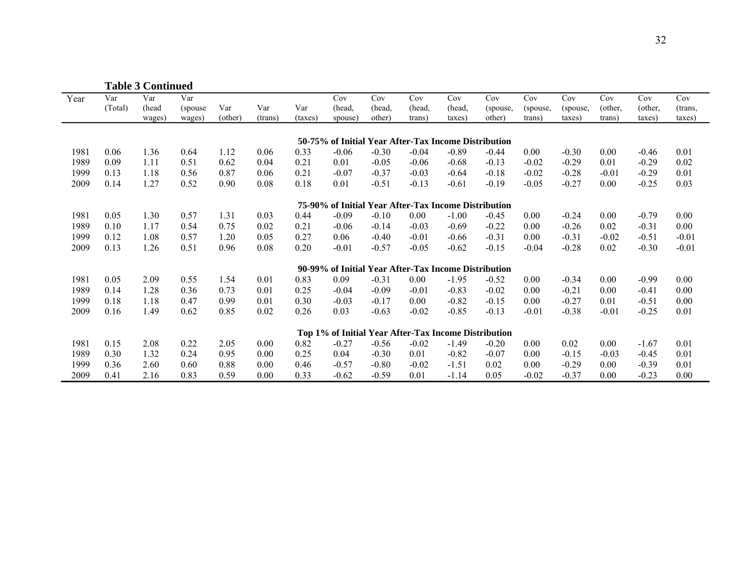|      |                | <b>Table 3 Continued</b> |                           |                |                |                |                                                      |                         |                         |                         |                           |                           |                           |                          |                          |                          |
|------|----------------|--------------------------|---------------------------|----------------|----------------|----------------|------------------------------------------------------|-------------------------|-------------------------|-------------------------|---------------------------|---------------------------|---------------------------|--------------------------|--------------------------|--------------------------|
| Year | Var<br>(Total) | Var<br>(head<br>wages)   | Var<br>(spouse)<br>wages) | Var<br>(other) | Var<br>(trans) | Var<br>(taxes) | Cov<br>(head,<br>spouse)                             | Cov<br>(head,<br>other) | Cov<br>(head,<br>trans) | Cov<br>(head,<br>taxes) | Cov<br>(spouse,<br>other) | Cov<br>(spouse,<br>trans) | Cov<br>(spouse,<br>taxes) | Cov<br>(other,<br>trans) | Cov<br>(other,<br>taxes) | Cov<br>(trans,<br>taxes) |
|      |                |                          |                           |                |                |                | 50-75% of Initial Year After-Tax Income Distribution |                         |                         |                         |                           |                           |                           |                          |                          |                          |
| 1981 | 0.06           | 1.36                     | 0.64                      | 1.12           | 0.06           | 0.33           | $-0.06$                                              | $-0.30$                 | $-0.04$                 | $-0.89$                 | $-0.44$                   | 0.00                      | $-0.30$                   | 0.00                     | $-0.46$                  | 0.01                     |
| 1989 | 0.09           | 1.11                     | 0.51                      | 0.62           | 0.04           | 0.21           | 0.01                                                 | $-0.05$                 | $-0.06$                 | $-0.68$                 | $-0.13$                   | $-0.02$                   | $-0.29$                   | 0.01                     | $-0.29$                  | 0.02                     |
| 1999 | 0.13           | 1.18                     | 0.56                      | 0.87           | 0.06           | 0.21           | $-0.07$                                              | $-0.37$                 | $-0.03$                 | $-0.64$                 | $-0.18$                   | $-0.02$                   | $-0.28$                   | $-0.01$                  | $-0.29$                  | 0.01                     |
| 2009 | 0.14           | 1.27                     | 0.52                      | 0.90           | 0.08           | 0.18           | 0.01                                                 | $-0.51$                 | $-0.13$                 | $-0.61$                 | $-0.19$                   | $-0.05$                   | $-0.27$                   | 0.00                     | $-0.25$                  | 0.03                     |
|      |                |                          |                           |                |                |                | 75-90% of Initial Year After-Tax Income Distribution |                         |                         |                         |                           |                           |                           |                          |                          |                          |
| 1981 | 0.05           | 1.30                     | 0.57                      | 1.31           | 0.03           | 0.44           | $-0.09$                                              | $-0.10$                 | 0.00                    | $-1.00$                 | $-0.45$                   | 0.00                      | $-0.24$                   | 0.00                     | $-0.79$                  | 0.00                     |
| 1989 | 0.10           | 1.17                     | 0.54                      | 0.75           | 0.02           | 0.21           | $-0.06$                                              | $-0.14$                 | $-0.03$                 | $-0.69$                 | $-0.22$                   | 0.00                      | $-0.26$                   | 0.02                     | $-0.31$                  | 0.00                     |
| 1999 | 0.12           | 1.08                     | 0.57                      | 1.20           | 0.05           | 0.27           | 0.06                                                 | $-0.40$                 | $-0.01$                 | $-0.66$                 | $-0.31$                   | 0.00                      | $-0.31$                   | $-0.02$                  | $-0.51$                  | $-0.01$                  |
| 2009 | 0.13           | 1.26                     | 0.51                      | 0.96           | 0.08           | 0.20           | $-0.01$                                              | $-0.57$                 | $-0.05$                 | $-0.62$                 | $-0.15$                   | $-0.04$                   | $-0.28$                   | 0.02                     | $-0.30$                  | $-0.01$                  |
|      |                |                          |                           |                |                |                | 90-99% of Initial Year After-Tax Income Distribution |                         |                         |                         |                           |                           |                           |                          |                          |                          |
| 1981 | 0.05           | 2.09                     | 0.55                      | 1.54           | 0.01           | 0.83           | 0.09                                                 | $-0.31$                 | 0.00                    | $-1.95$                 | $-0.52$                   | 0.00                      | $-0.34$                   | 0.00                     | $-0.99$                  | 0.00                     |
| 1989 | 0.14           | 1.28                     | 0.36                      | 0.73           | 0.01           | 0.25           | $-0.04$                                              | $-0.09$                 | $-0.01$                 | $-0.83$                 | $-0.02$                   | 0.00                      | $-0.21$                   | 0.00                     | $-0.41$                  | 0.00                     |
| 1999 | 0.18           | 1.18                     | 0.47                      | 0.99           | 0.01           | 0.30           | $-0.03$                                              | $-0.17$                 | 0.00                    | $-0.82$                 | $-0.15$                   | 0.00                      | $-0.27$                   | 0.01                     | $-0.51$                  | 0.00                     |
| 2009 | 0.16           | 1.49                     | 0.62                      | 0.85           | 0.02           | 0.26           | 0.03                                                 | $-0.63$                 | $-0.02$                 | $-0.85$                 | $-0.13$                   | $-0.01$                   | $-0.38$                   | $-0.01$                  | $-0.25$                  | 0.01                     |
|      |                |                          |                           |                |                |                | Top 1% of Initial Year After-Tax Income Distribution |                         |                         |                         |                           |                           |                           |                          |                          |                          |
| 1981 | 0.15           | 2.08                     | 0.22                      | 2.05           | 0.00           | 0.82           | $-0.27$                                              | $-0.56$                 | $-0.02$                 | $-1.49$                 | $-0.20$                   | 0.00                      | 0.02                      | 0.00                     | $-1.67$                  | 0.01                     |
| 1989 | 0.30           | 1.32                     | 0.24                      | 0.95           | 0.00           | 0.25           | 0.04                                                 | $-0.30$                 | 0.01                    | $-0.82$                 | $-0.07$                   | 0.00                      | $-0.15$                   | $-0.03$                  | $-0.45$                  | 0.01                     |
| 1999 | 0.36           | 2.60                     | 0.60                      | 0.88           | 0.00           | 0.46           | $-0.57$                                              | $-0.80$                 | $-0.02$                 | $-1.51$                 | 0.02                      | 0.00                      | $-0.29$                   | 0.00                     | $-0.39$                  | 0.01                     |
| 2009 | 0.41           | 2.16                     | 0.83                      | 0.59           | 0.00           | 0.33           | $-0.62$                                              | $-0.59$                 | 0.01                    | $-1.14$                 | 0.05                      | $-0.02$                   | $-0.37$                   | 0.00                     | $-0.23$                  | 0.00                     |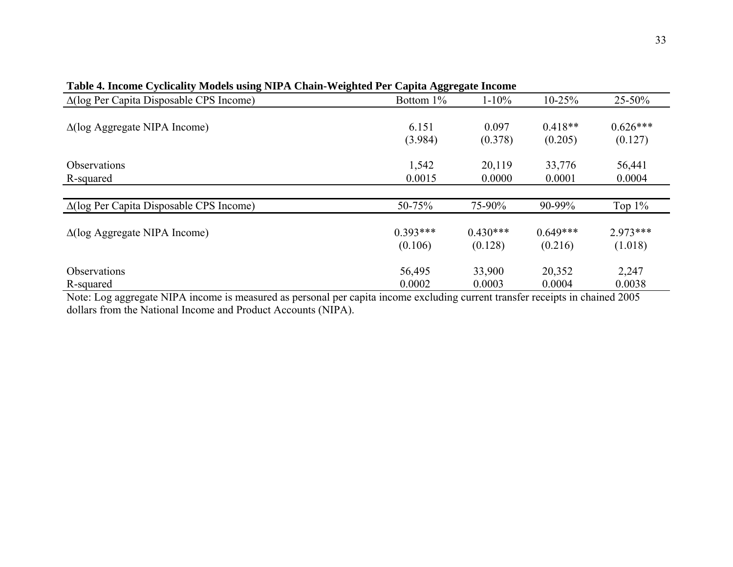| Table 4. Income Cycheanty Mouch abing File A Chain Weighten Fel<br>$\Delta(\log \text{Per Capita Disposable CPS Income})$ | Capita Aggi egale medine<br>Bottom $1\%$ | $1 - 10\%$ | $10 - 25%$ | 25-50%     |
|---------------------------------------------------------------------------------------------------------------------------|------------------------------------------|------------|------------|------------|
| $\Delta(\log$ Aggregate NIPA Income)                                                                                      | 6.151                                    | 0.097      | $0.418**$  | $0.626***$ |
|                                                                                                                           | (3.984)                                  | (0.378)    | (0.205)    | (0.127)    |
| <b>Observations</b>                                                                                                       | 1,542                                    | 20,119     | 33,776     | 56,441     |
| R-squared                                                                                                                 | 0.0015                                   | 0.0000     | 0.0001     | 0.0004     |
| $\Delta(\log \text{Per Capita Disposable CPS Income})$                                                                    | 50-75%                                   | 75-90%     | 90-99%     | Top $1\%$  |
| $\Delta(\log$ Aggregate NIPA Income)                                                                                      | $0.393***$                               | $0.430***$ | $0.649***$ | $2.973***$ |
|                                                                                                                           | (0.106)                                  | (0.128)    | (0.216)    | (1.018)    |
| <b>Observations</b>                                                                                                       | 56,495                                   | 33,900     | 20,352     | 2,247      |
| R-squared                                                                                                                 | 0.0002                                   | 0.0003     | 0.0004     | 0.0038     |

**Table 4. Income Cyclicality Models using NIPA Chain-Weighted Per Capita Aggregate Income** 

Note: Log aggregate NIPA income is measured as personal per capita income excluding current transfer receipts in chained 2005 dollars from the National Income and Product Accounts (NIPA).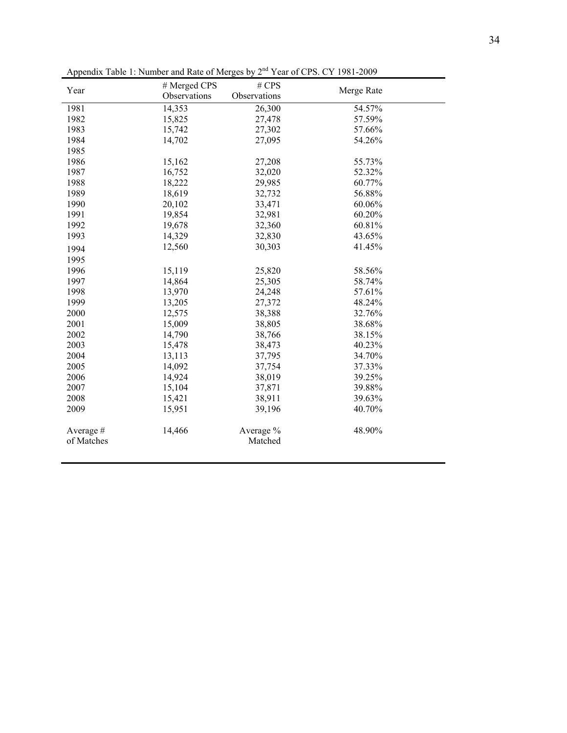| Year                   | # Merged CPS | # CPS                |            |
|------------------------|--------------|----------------------|------------|
|                        | Observations | Observations         | Merge Rate |
| 1981                   | 14,353       | 26,300               | 54.57%     |
| 1982                   | 15,825       | 27,478               | 57.59%     |
| 1983                   | 15,742       | 27,302               | 57.66%     |
| 1984                   | 14,702       | 27,095               | 54.26%     |
| 1985                   |              |                      |            |
| 1986                   | 15,162       | 27,208               | 55.73%     |
| 1987                   | 16,752       | 32,020               | 52.32%     |
| 1988                   | 18,222       | 29,985               | 60.77%     |
| 1989                   | 18,619       | 32,732               | 56.88%     |
| 1990                   | 20,102       | 33,471               | 60.06%     |
| 1991                   | 19,854       | 32,981               | 60.20%     |
| 1992                   | 19,678       | 32,360               | 60.81%     |
| 1993                   | 14,329       | 32,830               | 43.65%     |
| 1994                   | 12,560       | 30,303               | 41.45%     |
| 1995                   |              |                      |            |
| 1996                   | 15,119       | 25,820               | 58.56%     |
| 1997                   | 14,864       | 25,305               | 58.74%     |
| 1998                   | 13,970       | 24,248               | 57.61%     |
| 1999                   | 13,205       | 27,372               | 48.24%     |
| 2000                   | 12,575       | 38,388               | 32.76%     |
| 2001                   | 15,009       | 38,805               | 38.68%     |
| 2002                   | 14,790       | 38,766               | 38.15%     |
| 2003                   | 15,478       | 38,473               | 40.23%     |
| 2004                   | 13,113       | 37,795               | 34.70%     |
| 2005                   | 14,092       | 37,754               | 37.33%     |
| 2006                   | 14,924       | 38,019               | 39.25%     |
| 2007                   | 15,104       | 37,871               | 39.88%     |
| 2008                   | 15,421       | 38,911               | 39.63%     |
| 2009                   | 15,951       | 39,196               | 40.70%     |
| Average#<br>of Matches | 14,466       | Average %<br>Matched | 48.90%     |

Appendix Table 1: Number and Rate of Merges by 2<sup>nd</sup> Year of CPS. CY 1981-2009